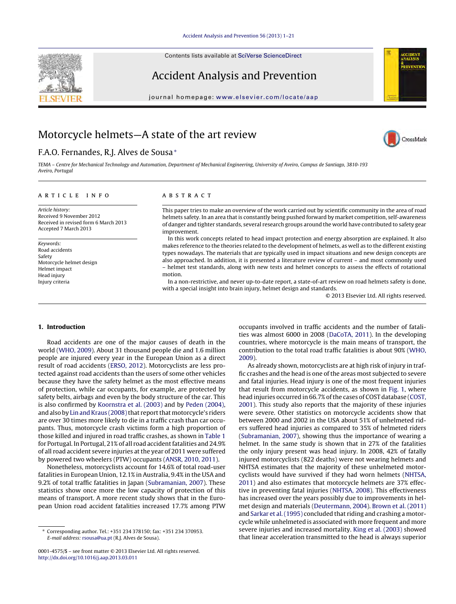Contents lists available at SciVerse [ScienceDirect](http://www.sciencedirect.com/science/journal/00014575)



# Accident Analysis and Prevention



# Motorcycle helmets—A state of the art review

# F.A.O. Fernandes, R.J. Alves de Sousa<sup>∗</sup>

TEMA – Centre for Mechanical Technology and Automation, Department of Mechanical Engineering, University of Aveiro, Campus de Santiago, 3810-193 Aveiro, Portugal

## a r t i c l e i n f o

Article history: Received 9 November 2012 Received in revised form 6 March 2013 Accepted 7 March 2013

#### Keywords: Road accidents Safety Motorcycle helmet design Helmet impact Head injury Injury criteria

# A B S T R A C T

This paper tries to make an overview of the work carried out by scientific community in the area of road helmets safety. In an area that is constantly being pushed forward by market competition, self-awareness of danger and tighter standards, several research groups around the world have contributed to safety gear improvement.

In this work concepts related to head impact protection and energy absorption are explained. It also makes reference to the theories related to the development of helmets, as well as to the different existing types nowadays. The materials that are typically used in impact situations and new design concepts are also approached. In addition, it is presented a literature review of current – and most commonly used – helmet test standards, along with new tests and helmet concepts to assess the effects of rotational motion.

In a non-restrictive, and never up-to-date report, a state-of-art review on road helmets safety is done, with a special insight into brain injury, helmet design and standards.

© 2013 Elsevier Ltd. All rights reserved.

CrossMark

# **1. Introduction**

Road accidents are one of the major causes of death in the world [\(WHO,](#page-20-0) [2009\).](#page-20-0) About 31 thousand people die and 1.6 million people are injured every year in the European Union as a direct result of road accidents ([ERSO,](#page-18-0) [2012\).](#page-18-0) Motorcyclists are less protected against road accidents than the users of some other vehicles because they have the safety helmet as the most effective means of protection, while car occupants, for example, are protected by safety belts, airbags and even by the body structure of the car. This is also confirmed by [Koornstra](#page-19-0) et [al.](#page-19-0) [\(2003\)](#page-19-0) and by [Peden](#page-19-0) [\(2004\),](#page-19-0) and also by [Lin](#page-19-0) and Kraus (2008) that report that motorcycle's riders are over 30 times more likely to die in a traffic crash than car occupants. Thus, motorcycle crash victims form a high proportion of those killed and injured in road traffic crashes, as shown in [Table](#page-1-0) 1 for Portugal. In Portugal, 21% of all road accident fatalities and 24.9% of all road accident severe injuries atthe year of 2011 were suffered by powered two wheelers (PTW) occupants ([ANSR,](#page-17-0) [2010,](#page-17-0) [2011\).](#page-17-0)

Nonetheless, motorcyclists account for 14.6% of total road-user fatalities in European Union, 12.1% in Australia, 9.4% in the USA and 9.2% of total traffic fatalities in Japan [\(Subramanian,](#page-20-0) [2007\).](#page-20-0) These statistics show once more the low capacity of protection of this means of transport. A more recent study shows that in the European Union road accident fatalities increased 17.7% among PTW

occupants involved in traffic accidents and the number of fatalities was almost 6000 in 2008 [\(DaCoTA,](#page-17-0) [2011\).](#page-17-0) In the developing countries, where motorcycle is the main means of transport, the contribution to the total road traffic fatalities is about 90% [\(WHO,](#page-20-0) [2009\).](#page-20-0)

As already shown, motorcyclists are at high risk of injury in traffic crashes and the head is one of the areas most subjected to severe and fatal injuries. Head injury is one of the most frequent injuries that result from motorcycle accidents, as shown in [Fig.](#page-1-0) 1, where head injuries occurred in 66.7% of the cases of COST database ([COST,](#page-17-0) [2001\).](#page-17-0) This study also reports that the majority of these injuries were severe. Other statistics on motorcycle accidents show that between 2000 and 2002 in the USA about 51% of unhelmeted riders suffered head injuries as compared to 35% of helmeted riders [\(Subramanian,](#page-20-0) [2007\),](#page-20-0) showing thus the importance of wearing a helmet. In the same study is shown that in 27% of the fatalities the only injury present was head injury. In 2008, 42% of fatally injured motorcyclists (822 deaths) were not wearing helmets and NHTSA estimates that the majority of these unhelmeted motorcyclists would have survived if they had worn helmets [\(NHTSA,](#page-19-0) [2011\)](#page-19-0) and also estimates that motorcycle helmets are 37% effective in preventing fatal injuries ([NHTSA,](#page-19-0) [2008\).](#page-19-0) This effectiveness has increased over the years possibly due to improvements in helmet design and materials [\(Deutermann,](#page-17-0) [2004\).](#page-17-0) [Brown](#page-17-0) et [al.](#page-17-0) [\(2011\)](#page-17-0) and [Sarkar](#page-20-0) et [al.\(1995\)](#page-20-0) concluded that riding and crashing a motorcycle while unhelmeted is associated with more frequent and more severe injuries and increased mortality. [King](#page-18-0) et [al.](#page-18-0) [\(2003\)](#page-18-0) showed that linear acceleration transmitted to the head is always superior

<sup>∗</sup> Corresponding author. Tel.: +351 234 378150; fax: +351 234 370953. E-mail address: [rsousa@ua.pt](mailto:rsousa@ua.pt) (R.J. Alves de Sousa).

<sup>0001-4575/\$</sup> – see front matter © 2013 Elsevier Ltd. All rights reserved. [http://dx.doi.org/10.1016/j.aap.2013.03.011](dx.doi.org/10.1016/j.aap.2013.03.011)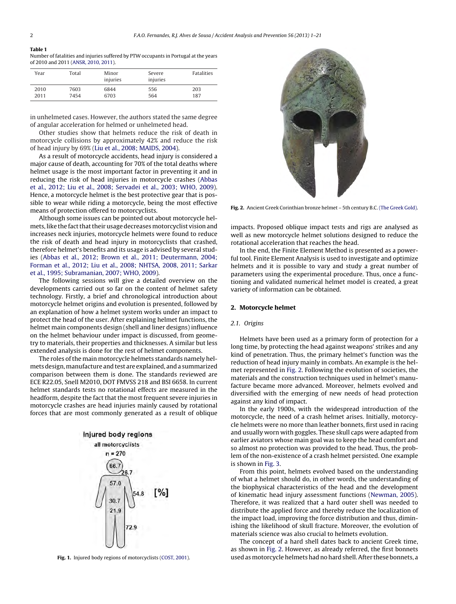#### <span id="page-1-0"></span>**Table 1**

Number of fatalities and injuries suffered by PTW occupants in Portugal at the years of 2010 and 2011 [\(ANSR,](#page-17-0) [2010,](#page-17-0) [2011\).](#page-17-0)

| Year | Total | Minor<br>injuries | Severe<br>injuries | <b>Fatalities</b> |
|------|-------|-------------------|--------------------|-------------------|
| 2010 | 7603  | 6844              | 556                | 203               |
| 2011 | 7454  | 6703              | 564                | 187               |

in unhelmeted cases. However, the authors stated the same degree of angular acceleration for helmed or unhelmeted head.

Other studies show that helmets reduce the risk of death in motorcycle collisions by approximately 42% and reduce the risk of head injury by 69% [\(Liu](#page-19-0) et [al.,](#page-19-0) [2008;](#page-19-0) [MAIDS,](#page-19-0) [2004\).](#page-19-0)

As a result of motorcycle accidents, head injury is considered a major cause of death, accounting for 70% of the total deaths where helmet usage is the most important factor in preventing it and in reducing the risk of head injuries in motorcycle crashes [\(Abbas](#page-17-0) et [al.,](#page-17-0) [2012;](#page-17-0) [Liu](#page-17-0) et [al.,](#page-17-0) [2008;](#page-17-0) [Servadei](#page-17-0) et [al.,](#page-17-0) [2003;](#page-17-0) [WHO,](#page-17-0) [2009\).](#page-17-0) Hence, a motorcycle helmet is the best protective gear that is possible to wear while riding a motorcycle, being the most effective means of protection offered to motorcyclists.

Although some issues can be pointed out about motorcycle helmets, like the fact that their usage decreases motorcyclist vision and increases neck injuries, motorcycle helmets were found to reduce the risk of death and head injury in motorcyclists that crashed, therefore helmet's benefits and its usage is advised by several studies [\(Abbas](#page-17-0) et [al.,](#page-17-0) [2012;](#page-17-0) [Brown](#page-17-0) et [al.,](#page-17-0) [2011;](#page-17-0) [Deutermann,](#page-17-0) [2004;](#page-17-0) [Forman](#page-17-0) et [al.,](#page-17-0) [2012;](#page-17-0) [Liu](#page-17-0) et [al.,](#page-17-0) [2008;](#page-17-0) [NHTSA,](#page-17-0) [2008,](#page-17-0) [2011;](#page-17-0) [Sarkar](#page-17-0) et [al.,](#page-17-0) [1995;](#page-17-0) [Subramanian,](#page-17-0) [2007;](#page-17-0) [WHO,](#page-17-0) [2009\).](#page-17-0)

The following sessions will give a detailed overview on the developments carried out so far on the content of helmet safety technology. Firstly, a brief and chronological introduction about motorcycle helmet origins and evolution is presented, followed by an explanation of how a helmet system works under an impact to protect the head of the user. After explaining helmet functions, the helmet main components design (shell and liner designs) influence on the helmet behaviour under impact is discussed, from geometry to materials, their properties and thicknesses. A similar but less extended analysis is done for the rest of helmet components.

The roles of the main motorcycle helmets standards namely helmets design, manufacture and test are explained, and a summarized comparison between them is done. The standards reviewed are ECE R22.05, Snell M2010, DOT FMVSS 218 and BSI 6658. In current helmet standards tests no rotational effects are measured in the headform, despite the fact that the most frequent severe injuries in motorcycle crashes are head injuries mainly caused by rotational forces that are most commonly generated as a result of oblique



**Fig. 1.** Injured body regions of motorcyclists [\(COST,](#page-17-0) [2001\).](#page-17-0)



**Fig. 2.** Ancient Greek Corinthian bronze helmet – 5th century B.C. [\(The](#page-20-0) [Greek](#page-20-0) [Gold\).](#page-20-0)

impacts. Proposed oblique impact tests and rigs are analysed as well as new motorcycle helmet solutions designed to reduce the rotational acceleration that reaches the head.

In the end, the Finite Element Method is presented as a powerful tool. Finite Element Analysis is used to investigate and optimize helmets and it is possible to vary and study a great number of parameters using the experimental procedure. Thus, once a functioning and validated numerical helmet model is created, a great variety of information can be obtained.

# **2. Motorcycle helmet**

# 2.1. Origins

Helmets have been used as a primary form of protection for a long time, by protecting the head against weapons' strikes and any kind of penetration. Thus, the primary helmet's function was the reduction of head injury mainly in combats. An example is the helmet represented in Fig. 2. Following the evolution of societies, the materials and the construction techniques used in helmet's manufacture became more advanced. Moreover, helmets evolved and diversified with the emerging of new needs of head protection against any kind of impact.

In the early 1900s, with the widespread introduction of the motorcycle, the need of a crash helmet arises. Initially, motorcycle helmets were no more than leather bonnets, first used in racing and usually worn with goggles. These skull caps were adapted from earlier aviators whose main goal was to keep the head comfort and so almost no protection was provided to the head. Thus, the problem of the non-existence of a crash helmet persisted. One example is shown in [Fig.](#page-2-0) 3.

From this point, helmets evolved based on the understanding of what a helmet should do, in other words, the understanding of the biophysical characteristics of the head and the development of kinematic head injury assessment functions [\(Newman,](#page-19-0) [2005\).](#page-19-0) Therefore, it was realized that a hard outer shell was needed to distribute the applied force and thereby reduce the localization of the impact load, improving the force distribution and thus, diminishing the likelihood of skull fracture. Moreover, the evolution of materials science was also crucial to helmets evolution.

The concept of a hard shell dates back to ancient Greek time, as shown in Fig. 2. However, as already referred, the first bonnets used asmotorcycle helmets had no hard shell.After these bonnets, a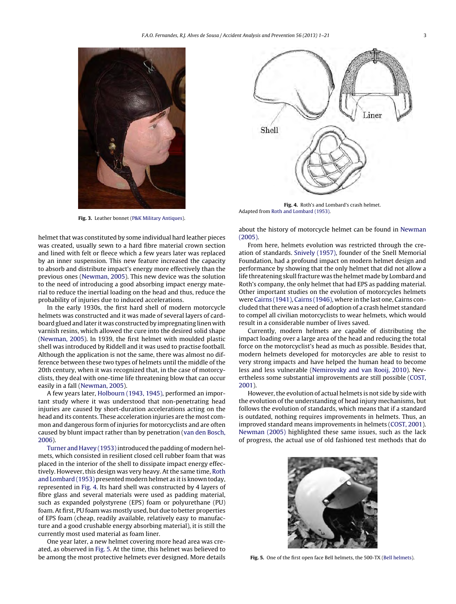<span id="page-2-0"></span>

**Fig. 3.** Leather bonnet ([P&K](#page-19-0) [Military](#page-19-0) [Antiques\).](#page-19-0)

helmet that was constituted by some individual hard leather pieces was created, usually sewn to a hard fibre material crown section and lined with felt or fleece which a few years later was replaced by an inner suspension. This new feature increased the capacity to absorb and distribute impact's energy more effectively than the previous ones [\(Newman,](#page-19-0) [2005\).](#page-19-0) This new device was the solution to the need of introducing a good absorbing impact energy material to reduce the inertial loading on the head and thus, reduce the probability of injuries due to induced accelerations.

In the early 1930s, the first hard shell of modern motorcycle helmets was constructed and it was made of several layers of cardboard glued and later it was constructed by impregnating linen with varnish resins, which allowed the cure into the desired solid shape ([Newman,](#page-19-0) [2005\).](#page-19-0) In 1939, the first helmet with moulded plastic shell was introduced by Riddell and it was used to practise football. Although the application is not the same, there was almost no difference between these two types of helmets until the middle of the 20th century, when it was recognized that, in the case of motorcyclists, they deal with one-time life threatening blow that can occur easily in a fall ([Newman,](#page-19-0) [2005\).](#page-19-0)

A few years later, [Holbourn](#page-18-0) [\(1943,](#page-18-0) [1945\),](#page-18-0) performed an important study where it was understood that non-penetrating head injuries are caused by short-duration accelerations acting on the head and its contents. These acceleration injuries are the most common and dangerous form of injuries for motorcyclists and are often caused by blunt impact rather than by penetration [\(van](#page-20-0) [den](#page-20-0) [Bosch,](#page-20-0) [2006\).](#page-20-0)

[Turner](#page-20-0) [and](#page-20-0) [Havey](#page-20-0) [\(1953\)in](#page-20-0)troduced the padding of modern helmets, which consisted in resilient closed cell rubber foam that was placed in the interior of the shell to dissipate impact energy effectively. However, this design was very heavy. At the same time, [Roth](#page-20-0) [and](#page-20-0) [Lombard](#page-20-0) [\(1953\)](#page-20-0) presented modern helmet as it is known today, represented in Fig. 4. Its hard shell was constructed by 4 layers of fibre glass and several materials were used as padding material, such as expanded polystyrene (EPS) foam or polyurethane (PU) foam.At first, PU foam was mostly used, but due to better properties of EPS foam (cheap, readily available, relatively easy to manufacture and a good crushable energy absorbing material), it is still the currently most used material as foam liner.

One year later, a new helmet covering more head area was created, as observed in Fig. 5. At the time, this helmet was believed to be among the most protective helmets ever designed. More details



**Fig. 4.** Roth's and Lombard's crash helmet. Adapted from [Roth](#page-20-0) [and](#page-20-0) [Lombard](#page-20-0) [\(1953\).](#page-20-0)

about the history of motorcycle helmet can be found in [Newman](#page-19-0) [\(2005\).](#page-19-0)

From here, helmets evolution was restricted through the creation of standards. [Snively](#page-20-0) [\(1957\),](#page-20-0) founder of the Snell Memorial Foundation, had a profound impact on modern helmet design and performance by showing that the only helmet that did not allow a life threatening skull fracture was the helmet made by Lombard and Roth's company, the only helmet that had EPS as padding material. Other important studies on the evolution of motorcycles helmets were [Cairns](#page-17-0) [\(1941\),](#page-17-0) [Cairns](#page-17-0) [\(1946\),](#page-17-0) where in the last one, Cairns concluded that there was a need of adoption of a crash helmet standard to compel all civilian motorcyclists to wear helmets, which would result in a considerable number of lives saved.

Currently, modern helmets are capable of distributing the impact loading over a large area of the head and reducing the total force on the motorcyclist's head as much as possible. Besides that, modern helmets developed for motorcycles are able to resist to very strong impacts and have helped the human head to become less and less vulnerable ([Nemirovsky](#page-19-0) [and](#page-19-0) [van](#page-19-0) [Rooij,](#page-19-0) [2010\).](#page-19-0) Nevertheless some substantial improvements are still possible ([COST,](#page-17-0) [2001\).](#page-17-0)

However, the evolution of actual helmets is not side by side with the evolution of the understanding of head injury mechanisms, but follows the evolution of standards, which means that if a standard is outdated, nothing requires improvements in helmets. Thus, an improved standard means improvements in helmets ([COST,](#page-17-0) [2001\).](#page-17-0) [Newman](#page-19-0) [\(2005\)](#page-19-0) highlighted these same issues, such as the lack of progress, the actual use of old fashioned test methods that do



**Fig. 5.** One of the first open face Bell helmets, the 500-TX ([Bell](#page-17-0) [helmets\).](#page-17-0)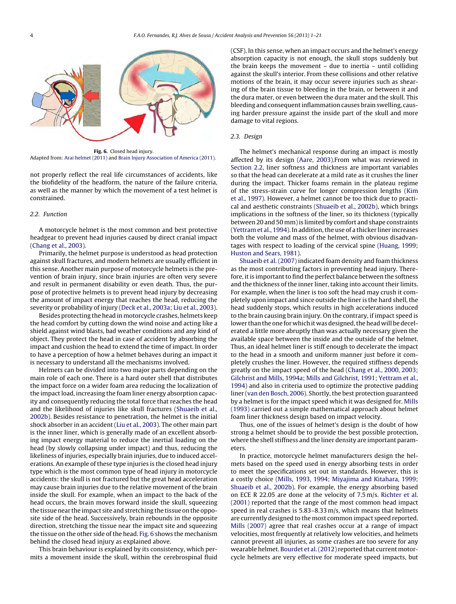

**Fig. 6.** Closed head injury. Adapted from: [Arai](#page-17-0) [helmet](#page-17-0) [\(2011\)](#page-17-0) and [Brain](#page-17-0) [Injury](#page-17-0) [Association](#page-17-0) [of](#page-17-0) [America](#page-17-0) [\(2011\).](#page-17-0)

not properly reflect the real life circumstances of accidents, like the biofidelity of the headform, the nature of the failure criteria, as well as the manner by which the movement of a test helmet is constrained.

#### 2.2. Function

A motorcycle helmet is the most common and best protective headgear to prevent head injuries caused by direct cranial impact ([Chang](#page-17-0) et [al.,](#page-17-0) [2003\).](#page-17-0)

Primarily, the helmet purpose is understood as head protection against skull fractures, and modern helmets are usually efficient in this sense. Another main purpose of motorcycle helmets is the prevention of brain injury, since brain injuries are often very severe and result in permanent disability or even death. Thus, the purpose of protective helmets is to prevent head injury by decreasing the amount of impact energy that reaches the head, reducing the severity or probability of injury [\(Deck](#page-17-0) et [al.,](#page-17-0) [2003a;](#page-17-0) [Liu](#page-17-0) et [al.,](#page-17-0) [2003\).](#page-17-0)

Besides protecting the head in motorcycle crashes, helmets keep the head comfort by cutting down the wind noise and acting like a shield against wind blasts, bad weather conditions and any kind of object. They protect the head in case of accident by absorbing the impact and cushion the head to extend the time of impact. In order to have a perception of how a helmet behaves during an impact it is necessary to understand all the mechanisms involved.

Helmets can be divided into two major parts depending on the main role of each one. There is a hard outer shell that distributes the impact force on a wider foam area reducing the localization of the impact load, increasing the foam liner energy absorption capacity and consequently reducing the total force that reaches the head and the likelihood of injuries like skull fractures ([Shuaeib](#page-20-0) et [al.,](#page-20-0) [2002b\).](#page-20-0) Besides resistance to penetration, the helmet is the initial shock absorber in an accident ([Liu](#page-19-0) et [al.,](#page-19-0) [2003\).](#page-19-0) The other main part is the inner liner, which is generally made of an excellent absorbing impact energy material to reduce the inertial loading on the head (by slowly collapsing under impact) and thus, reducing the likeliness of injuries, especially brain injuries, due to induced accelerations. An example of these type injuries is the closed head injury type which is the most common type of head injury in motorcycle accidents: the skull is not fractured but the great head acceleration may cause brain injuries due to the relative movement of the brain inside the skull. For example, when an impact to the back of the head occurs, the brain moves forward inside the skull, squeezing the tissue near the impact site and stretching the tissue on the opposite side of the head. Successively, brain rebounds in the opposite direction, stretching the tissue near the impact site and squeezing the tissue on the other side of the head. Fig. 6 shows the mechanism behind the closed head injury as explained above.

This brain behaviour is explained by its consistency, which permits a movement inside the skull, within the cerebrospinal fluid (CSF). In this sense, when an impact occurs and the helmet's energy absorption capacity is not enough, the skull stops suddenly but the brain keeps the movement – due to inertia – until colliding against the skull's interior. From these collisions and other relative motions of the brain, it may occur severe injuries such as shearing of the brain tissue to bleeding in the brain, or between it and the dura mater, or even between the dura mater and the skull. This bleeding and consequent inflammation causes brain swelling, causing harder pressure against the inside part of the skull and more damage to vital regions.

# 2.3. Design

The helmet's mechanical response during an impact is mostly affected by its design [\(Aare,](#page-17-0) [2003\).F](#page-17-0)rom what was reviewed in Section 2.2, liner softness and thickness are important variables so that the head can decelerate at a mild rate as it crushes the liner during the impact. Thicker foams remain in the plateau regime of the stress-strain curve for longer compression lengths [\(Kim](#page-18-0) et [al.,](#page-18-0) [1997\).](#page-18-0) However, a helmet cannot be too thick due to practical and aesthetic constraints ([Shuaeib](#page-20-0) et [al.,](#page-20-0) [2002b\),](#page-20-0) which brings implications in the softness of the liner, so its thickness (typically between 20 and 50 mm) is limited by comfort and shape constraints [\(Yettram](#page-20-0) et [al.,](#page-20-0) [1994\).](#page-20-0) In addition, the use of a thicker liner increases both the volume and mass of the helmet, with obvious disadvantages with respect to loading of the cervical spine [\(Huang,](#page-18-0) [1999;](#page-18-0) [Huston](#page-18-0) [and](#page-18-0) [Sears,](#page-18-0) [1981\).](#page-18-0)

[Shuaeib](#page-20-0) et [al.](#page-20-0) [\(2007\)](#page-20-0) indicated foam density and foam thickness as the most contributing factors in preventing head injury. Therefore, it is important to find the perfect balance between the softness and the thickness of the inner liner, taking into account their limits. For example, when the liner is too soft the head may crush it completely upon impact and since outside the liner is the hard shell, the head suddenly stops, which results in high accelerations induced to the brain causing brain injury. On the contrary, if impact speed is lower than the one for which it was designed, the head will be decelerated a little more abruptly than was actually necessary given the available space between the inside and the outside of the helmet. Thus, an ideal helmet liner is stiff enough to decelerate the impact to the head in a smooth and uniform manner just before it completely crushes the liner. However, the required stiffness depends greatly on the impact speed of the head ([Chang](#page-17-0) et [al.,](#page-17-0) [2000,](#page-17-0) [2003;](#page-17-0) [Gilchrist](#page-17-0) [and](#page-17-0) [Mills,](#page-17-0) [1994a;](#page-17-0) [Mills](#page-17-0) [and](#page-17-0) [Gilchrist,](#page-17-0) [1991;](#page-17-0) [Yettram](#page-17-0) et [al.,](#page-17-0) [1994\)](#page-17-0) and also in criteria used to optimize the protective padding liner ([van](#page-20-0) [den](#page-20-0) [Bosch,](#page-20-0) [2006\).](#page-20-0) Shortly, the best protection guaranteed by a helmet is for the impact speed which it was designed for. [Mills](#page-19-0) [\(1993\)](#page-19-0) carried out a simple mathematical approach about helmet foam liner thickness design based on impact velocity.

Thus, one of the issues of helmet's design is the doubt of how strong a helmet should be to provide the best possible protection, where the shell stiffness and the liner density are important parameters.

In practice, motorcycle helmet manufacturers design the helmets based on the speed used in energy absorbing tests in order to meet the specifications set out in standards. However, this is a costly choice ([Mills,](#page-19-0) [1993,](#page-19-0) [1994;](#page-19-0) [Miyajima](#page-19-0) [and](#page-19-0) [Kitahara,](#page-19-0) [1999;](#page-19-0) [Shuaeib](#page-19-0) et [al.,](#page-19-0) [2002b\).](#page-19-0) For example, the energy absorbing based on ECE R 22.05 are done at the velocity of 7.5 m/s. [Richter](#page-20-0) et [al.](#page-20-0) [\(2001\)](#page-20-0) reported that the range of the most common head impact speed in real crashes is 5.83–8.33 m/s, which means that helmets are currently designed to the most common impact speed reported. [Mills](#page-19-0) [\(2007\)](#page-19-0) agree that real crashes occur at a range of impact velocities, most frequently at relatively low velocities, and helmets cannot prevent all injuries, as some crashes are too severe for any wearable helmet. [Bourdet](#page-17-0) et [al.\(2012\)](#page-17-0) reported that current motorcycle helmets are very effective for moderate speed impacts, but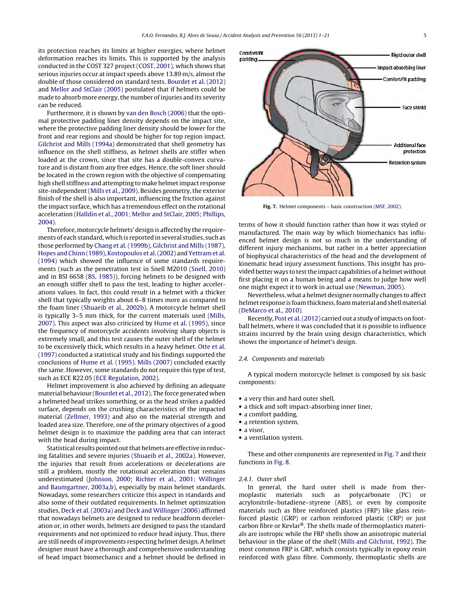its protection reaches its limits at higher energies, where helmet deformation reaches its limits. This is supported by the analysis conducted in the COST 327 project ([COST,](#page-17-0) [2001\),](#page-17-0) which shows that serious injuries occur at impact speeds above 13.89 m/s, almost the double of those considered on standard tests. [Bourdet](#page-17-0) et [al.](#page-17-0) [\(2012\)](#page-17-0) and [Mellor](#page-19-0) [and](#page-19-0) [StClair](#page-19-0) [\(2005\)](#page-19-0) postulated that if helmets could be made to absorb more energy, the number of injuries and its severity can be reduced.

Furthermore, it is shown by [van](#page-20-0) [den](#page-20-0) [Bosch](#page-20-0) [\(2006\)](#page-20-0) that the optimal protective padding liner density depends on the impact site, where the protective padding liner density should be lower for the front and rear regions and should be higher for top region impact. [Gilchrist](#page-18-0) [and](#page-18-0) [Mills](#page-18-0) [\(1994a\)](#page-18-0) demonstrated that shell geometry has influence on the shell stiffness, as helmet shells are stiffer when loaded at the crown, since that site has a double-convex curvature and is distant from any free edges. Hence, the soft liner should be located in the crown region with the objective of compensating high shell stiffness and attempting to make helmet impact response site-independent ([Mills](#page-19-0) et [al.,](#page-19-0) [2009\).](#page-19-0) Besides geometry, the exterior finish of the shell is also important, influencing the friction against the impact surface, which has a tremendous effect on the rotational acceleration ([Halldin](#page-18-0) et [al.,](#page-18-0) [2001;](#page-18-0) [Mellor](#page-18-0) [and](#page-18-0) [StClair,](#page-18-0) [2005;](#page-18-0) [Phillips,](#page-18-0) [2004\).](#page-18-0)

Therefore, motorcycle helmets' design is affected by the requirements of each standard, which is reported in several studies, such as those performed by [Chang](#page-17-0) et [al.](#page-17-0) [\(1999b\),](#page-17-0) [Gilchrist](#page-18-0) [and](#page-18-0) [Mills](#page-18-0) [\(1987\),](#page-18-0) [Hopes](#page-18-0) and Chinn (1989), [Kostopoulos](#page-19-0) et [al.](#page-20-0) (2002) and Yettram et al. [\(1994\)](#page-20-0) which showed the influence of some standards requirements (such as the penetration test in Snell M2010 ([Snell,](#page-20-0) [2010\)](#page-20-0) and in BSI 6658 ([BS,](#page-17-0) [1985\)\)](#page-17-0), forcing helmets to be designed with an enough stiffer shell to pass the test, leading to higher accelerations values. In fact, this could result in a helmet with a thicker shell that typically weights about 6–8 times more as compared to the foam liner ([Shuaeib](#page-20-0) et [al.,](#page-20-0) [2002b\).](#page-20-0) A motorcycle helmet shell is typically 3–5 mm thick, for the current materials used [\(Mills,](#page-19-0) [2007\).](#page-19-0) This aspect was also criticized by [Hume](#page-18-0) et [al.](#page-18-0) [\(1995\),](#page-18-0) since the frequency of motorcycle accidents involving sharp objects is extremely small, and this test causes the outer shell of the helmet to be excessively thick, which results in a heavy helmet. [Otte](#page-19-0) et [al.](#page-19-0) [\(1997\)](#page-19-0) conducted a statistical study and his findings supported the conclusions of [Hume](#page-18-0) et [al.](#page-18-0) [\(1995\).](#page-18-0) [Mills](#page-19-0) [\(2007\)](#page-19-0) concluded exactly the same. However, some standards do not require this type of test, such as ECE R22.05 [\(ECE](#page-17-0) [Regulation,](#page-17-0) [2002\).](#page-17-0)

Helmet improvement is also achieved by defining an adequate material behaviour [\(Bourdet](#page-17-0) et [al.,](#page-17-0) [2012\).](#page-17-0) The force generated when a helmeted head strikes something, or as the head strikes a padded surface, depends on the crushing characteristics of the impacted material ([Zellmer,](#page-20-0) [1993\)](#page-20-0) and also on the material strength and loaded area size. Therefore, one of the primary objectives of a good helmet design is to maximize the padding area that can interact with the head during impact.

Statistical results pointed out that helmets are effective in reducing fatalities and severe injuries [\(Shuaeib](#page-20-0) et [al.,](#page-20-0) [2002a\).](#page-20-0) However, the injuries that result from accelerations or decelerations are still a problem, mostly the rotational acceleration that remains underestimated ([Johnson,](#page-18-0) [2000;](#page-18-0) [Richter](#page-18-0) et [al.,](#page-18-0) [2001;](#page-18-0) [Willinger](#page-18-0) [and](#page-18-0) [Baumgartner,](#page-18-0) [2003a,b\),](#page-18-0) especially by main helmet standards. Nowadays, some researchers criticize this aspect in standards and also some of their outdated requirements. In helmet optimization studies, [Deck](#page-17-0) et [al.](#page-17-0) [\(2003a\)](#page-17-0) and [Deck](#page-17-0) [and](#page-17-0) [Willinger](#page-17-0) [\(2006\)](#page-17-0) affirmed that nowadays helmets are designed to reduce headform deceleration or, in other words, helmets are designed to pass the standard requirements and not optimized to reduce head injury. Thus, there are still needs of improvements respecting helmet design. A helmet designer must have a thorough and comprehensive understanding of head impact biomechanics and a helmet should be defined in



**Fig. 7.** Helmet components – basic construction ([MSF,](#page-19-0) [2002\).](#page-19-0)

terms of how it should function rather than how it was styled or manufactured. The main way by which biomechanics has influenced helmet design is not so much in the understanding of different injury mechanisms, but rather in a better appreciation of biophysical characteristics of the head and the development of kinematic head injury assessment functions. This insight has provided better ways to testthe impact capabilities of a helmet without first placing it on a human being and a means to judge how well one might expect it to work in actual use ([Newman,](#page-19-0) [2005\).](#page-19-0)

Nevertheless, what a helmet designer normally changes to affect helmet response is foam thickness, foam material and shell material [\(DeMarco](#page-17-0) et [al.,](#page-17-0) [2010\).](#page-17-0)

Recently, [Post](#page-20-0) et [al.\(2012\)](#page-20-0) carried out a study ofimpacts on football helmets, where it was concluded that it is possible to influence strains incurred by the brain using design characteristics, which shows the importance of helmet's design.

## 2.4. Components and materials

A typical modern motorcycle helmet is composed by six basic components:

- a very thin and hard outer shell,
- a thick and soft impact-absorbing inner liner,
- a comfort padding,
- a retention system,
- a visor,
- a ventilation system.

These and other components are represented in Fig. 7 and their functions in [Fig.](#page-5-0) 8.

# 2.4.1. Outer shell

In general, the hard outer shell is made from thermoplastic materials such as polycarbonate (PC) or acrylonitrile–butadiene–styrene (ABS), or even by composite materials such as fibre reinforced plastics (FRP) like glass reinforced plastic (GRP) or carbon reinforced plastic (CRP) or just carbon fibre or Kevlar®. The shells made of thermoplastics materials are isotropic while the FRP shells show an anisotropic material behaviour in the plane of the shell ([Mills](#page-19-0) [and](#page-19-0) [Gilchrist,](#page-19-0) [1992\).](#page-19-0) The most common FRP is GRP, which consists typically in epoxy resin reinforced with glass fibre. Commonly, thermoplastic shells are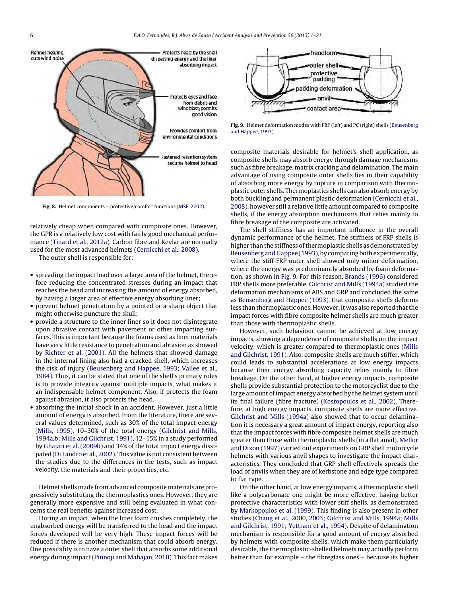<span id="page-5-0"></span>

**Fig. 8.** Helmet components – protective/comfort functions [\(MSF,](#page-19-0) [2002\).](#page-19-0)

relatively cheap when compared with composite ones. However, the GPR is a relatively low cost with fairly good mechanical performance [\(Tinard](#page-20-0) et [al.,](#page-20-0) [2012a\).](#page-20-0) Carbon fibre and Kevlar are normally used for the most advanced helmets ([Cernicchi](#page-17-0) et [al.,](#page-17-0) [2008\).](#page-17-0)

The outer shell is responsible for:

- spreading the impact load over a large area of the helmet, therefore reducing the concentrated stresses during an impact that reaches the head and increasing the amount of energy absorbed, by having a larger area of effective energy absorbing liner;
- prevent helmet penetration by a pointed or a sharp object that might otherwise puncture the skull;
- provide a structure to the inner liner so it does not disintegrate upon abrasive contact with pavement or other impacting surfaces. This is important because the foams used as liner materials have very little resistance to penetration and abrasion as showed by [Richter](#page-20-0) et [al.](#page-20-0) [\(2001\).](#page-20-0) All the helmets that showed damage in the internal lining also had a cracked shell, which increases the risk of injury ([Beusenberg](#page-17-0) [and](#page-17-0) [Happee,](#page-17-0) [1993;](#page-17-0) [Vallee](#page-17-0) et [al.,](#page-17-0) [1984\).](#page-17-0) Thus, it can be stated that one of the shell's primary roles is to provide integrity against multiple impacts, what makes it an indispensable helmet component. Also, if protects the foam against abrasion, it also protects the head.
- absorbing the initial shock in an accident. However, just a little amount of energy is absorbed. From the literature, there are several values determined, such as 30% of the total impact energy [\(Mills,](#page-19-0) [1995\),](#page-19-0) 10–30% of the total energy ([Gilchrist](#page-18-0) [and](#page-18-0) [Mills,](#page-18-0) [1994a,b;](#page-18-0) [Mills](#page-18-0) [and](#page-18-0) [Gilchrist,](#page-18-0) [1991\),](#page-18-0) 12–15% in a study performed by [Ghajari](#page-18-0) et [al.](#page-18-0) [\(2009b\)](#page-18-0) and 34% of the total impact energy dissipated [\(Di](#page-17-0) [Landro](#page-17-0) et [al.,](#page-17-0) [2002\).](#page-17-0) This value is not consistent between the studies due to the differences in the tests, such as impact velocity, the materials and their properties, etc.

Helmet shells made from advanced composite materials are progressively substituting the thermoplastics ones. However, they are generally more expensive and still being evaluated in what concerns the real benefits against increased cost.

During an impact, when the liner foam crushes completely, the unabsorbed energy will be transferred to the head and the impact forces developed will be very high. These impact forces will be reduced if there is another mechanism that could absorb energy. One possibility is to have a outer shell that absorbs some additional energy during impact [\(Pinnoji](#page-20-0) [and](#page-20-0) [Mahajan,](#page-20-0) [2010\).](#page-20-0) This fact makes



**Fig. 9.** Helmet deformation modes with FRP (left) and PC (right) shells [\(Beusenberg](#page-17-0) [and](#page-17-0) [Happee,](#page-17-0) [1993\).](#page-17-0)

composite materials desirable for helmet's shell application, as composite shells may absorb energy through damage mechanisms such as fibre breakage, matrix cracking and delamination. The main advantage of using composite outer shells lies in their capability of absorbing more energy by rupture in comparison with thermoplastic outer shells. Thermoplastics shells can also absorb energy by both buckling and permanent plastic deformation [\(Cernicchi](#page-17-0) et [al.,](#page-17-0) [2008\),](#page-17-0) however still a relative little amount compared to composite shells, if the energy absorption mechanisms that relies mainly to fibre breakage of the composite are activated.

The shell stiffness has an important influence in the overall dynamic performance of the helmet. The stiffness of FRP shells is higher than the stiffness of thermoplastic shells as demonstrated by [Beusenberg](#page-17-0) and Happee [\(1993\),](#page-17-0) by comparing both experimentally, where the stiff FRP outer shell showed only minor deformation, where the energy was predominantly absorbed by foam deformation, as shown in Fig. 9. For this reason, [Brands](#page-17-0) [\(1996\)](#page-17-0) considered FRP shells more preferable. [Gilchrist](#page-18-0) [and](#page-18-0) [Mills](#page-18-0) [\(1994a\)](#page-18-0) studied the deformation mechanisms of ABS and GRP and concluded the same as [Beusenberg](#page-17-0) [and](#page-17-0) [Happee](#page-17-0) [\(1993\),](#page-17-0) that composite shells deforms less than thermoplastic ones. However, it was also reported that the impact forces with fibre composite helmet shells are much greater than those with thermoplastic shells.

However, such behaviour cannot be achieved at low energy impacts, showing a dependence of composite shells on the impact velocity, which is greater compared to thermoplastic ones [\(Mills](#page-19-0) [and](#page-19-0) [Gilchrist,](#page-19-0) [1991\).](#page-19-0) Also, composite shells are much stiffer, which could leads to substantial accelerations at low energy impacts because their energy absorbing capacity relies mainly to fibre breakage. On the other hand, at higher energy impacts, composite shells provide substantial protection to the motorcyclist due to the large amount of impact energy absorbed by the helmet system until its final failure (fibre fracture) ([Kostopoulos](#page-19-0) et [al.,](#page-19-0) [2002\).](#page-19-0) Therefore, at high energy impacts, composite shells are more effective. [Gilchrist](#page-18-0) [and](#page-18-0) [Mills](#page-18-0) [\(1994a\)](#page-18-0) also showed that to occur delamination it is necessary a great amount of impact energy, reporting also that the impact forces with fibre composite helmet shells are much greater than those with thermoplastic shells (in a flat anvil). [Mellor](#page-19-0) [and](#page-19-0) [Dixon](#page-19-0) [\(1997\)](#page-19-0) carried out experiments on GRP shell motorcycle helmets with various anvil shapes to investigate the impact characteristics. They concluded that GRP shell effectively spreads the load of anvils when they are of kerbstone and edge type compared to flat type.

On the other hand, at low energy impacts, a thermoplastic shell like a polycarbonate one might be more effective, having better protective characteristics with lower stiff shells, as demonstrated by [Markopoulos](#page-19-0) et [al.](#page-19-0) [\(1999\).](#page-19-0) This finding is also present in other studies [\(Chang](#page-17-0) et [al.,](#page-17-0) [2000,](#page-17-0) [2003;](#page-17-0) [Gilchrist](#page-17-0) [and](#page-17-0) [Mills,](#page-17-0) [1994a;](#page-17-0) [Mills](#page-17-0) [and](#page-17-0) [Gilchrist,](#page-17-0) [1991;](#page-17-0) [Yettram](#page-17-0) et [al.,](#page-17-0) [1994\).](#page-17-0) Despite of delamination mechanism is responsible for a good amount of energy absorbed by helmets with composite shells, which make them particularly desirable, the thermoplastic-shelled helmets may actually perform better than for example – the fibreglass ones – because its higher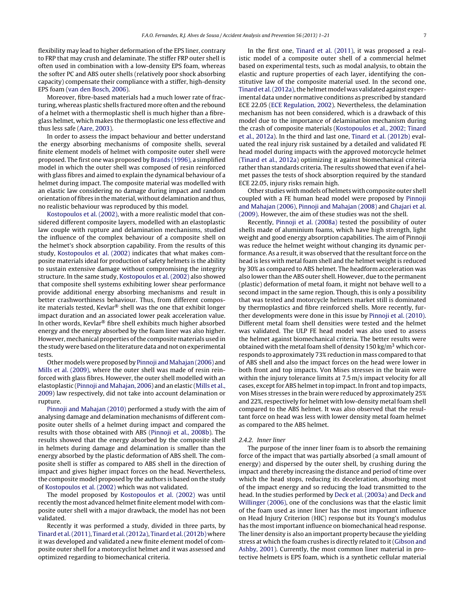flexibility may lead to higher deformation of the EPS liner, contrary to FRP that may crush and delaminate. The stiffer FRP outer shell is often used in combination with a low-density EPS foam, whereas the softer PC and ABS outer shells (relatively poor shock absorbing capacity) compensate their compliance with a stiffer, high-density EPS foam [\(van](#page-20-0) [den](#page-20-0) [Bosch,](#page-20-0) [2006\).](#page-20-0)

Moreover, fibre-based materials had a much lower rate of fracturing, whereas plastic shells fractured more often and the rebound of a helmet with a thermoplastic shell is much higher than a fibreglass helmet, which makes the thermoplastic one less effective and thus less safe [\(Aare,](#page-17-0) [2003\).](#page-17-0)

In order to assess the impact behaviour and better understand the energy absorbing mechanisms of composite shells, several finite element models of helmet with composite outer shell were proposed. The first one was proposed by [Brands](#page-17-0) [\(1996\),](#page-17-0) a simplified model in which the outer shell was composed of resin reinforced with glass fibres and aimed to explain the dynamical behaviour of a helmet during impact. The composite material was modelled with an elastic law considering no damage during impact and random orientation of fibres in the material, without delamination and thus, no realistic behaviour was reproduced by this model.

[Kostopoulos](#page-19-0) et [al.](#page-19-0) [\(2002\),](#page-19-0) with a more realistic model that considered different composite layers, modelled with an elastoplastic law couple with rupture and delamination mechanisms, studied the influence of the complex behaviour of a composite shell on the helmet's shock absorption capability. From the results of this study, [Kostopoulos](#page-19-0) et [al.](#page-19-0) [\(2002\)](#page-19-0) indicates that what makes composite materials ideal for production of safety helmets is the ability to sustain extensive damage without compromising the integrity structure. In the same study, [Kostopoulos](#page-19-0) et [al.](#page-19-0) [\(2002\)](#page-19-0) also showed that composite shell systems exhibiting lower shear performance provide additional energy absorbing mechanisms and result in better crashworthiness behaviour. Thus, from different composite materials tested, Kevlar® shell was the one that exhibit longer impact duration and an associated lower peak acceleration value. In other words, Kevlar® fibre shell exhibits much higher absorbed energy and the energy absorbed by the foam liner was also higher. However, mechanical properties of the composite materials used in the study were based on the literature data and not on experimental tests.

Other models were proposed by [Pinnoji](#page-19-0) [and](#page-19-0) [Mahajan](#page-19-0) [\(2006\)](#page-19-0) and [Mills](#page-19-0) et [al.](#page-19-0) [\(2009\),](#page-19-0) where the outer shell was made of resin reinforced with glass fibres. However, the outer shell modelled with an elastoplastic ([Pinnoji](#page-19-0) [and](#page-19-0) [Mahajan,](#page-19-0) [2006\)](#page-19-0) and an elastic [\(Mills](#page-19-0) et [al.,](#page-19-0) [2009\)](#page-19-0) law respectively, did not take into account delamination or rupture.

[Pinnoji](#page-20-0) [and](#page-20-0) [Mahajan](#page-20-0) [\(2010\)](#page-20-0) performed a study with the aim of analysing damage and delamination mechanisms of different composite outer shells of a helmet during impact and compared the results with those obtained with ABS [\(Pinnoji](#page-19-0) et [al.,](#page-19-0) [2008b\).](#page-19-0) The results showed that the energy absorbed by the composite shell in helmets during damage and delamination is smaller than the energy absorbed by the plastic deformation of ABS shell. The composite shell is stiffer as compared to ABS shell in the direction of impact and gives higher impact forces on the head. Nevertheless, the composite model proposed by the authors is based on the study of [Kostopoulos](#page-19-0) et [al.](#page-19-0) [\(2002\)](#page-19-0) which was not validated.

The model proposed by [Kostopoulos](#page-19-0) et [al.](#page-19-0) [\(2002\)](#page-19-0) was until recently the most advanced helmet finite element model with composite outer shell with a major drawback, the model has not been validated.

Recently it was performed a study, divided in three parts, by [Tinard](#page-20-0) et [al.\(2011\),](#page-20-0) [Tinard](#page-20-0) et [al.\(2012a\),](#page-20-0) [Tinard](#page-20-0) et [al.\(2012b\)](#page-20-0) where it was developed and validated a new finite element model of composite outer shell for a motorcyclist helmet and it was assessed and optimized regarding to biomechanical criteria.

In the first one, [Tinard](#page-20-0) et [al.](#page-20-0) [\(2011\),](#page-20-0) it was proposed a realistic model of a composite outer shell of a commercial helmet based on experimental tests, such as modal analysis, to obtain the elastic and rupture properties of each layer, identifying the constitutive law of the composite material used. In the second one, [Tinard](#page-20-0) et al. (2012a), the helmet model was validated against experimental data under normative conditions as prescribed by standard ECE 22.05 ([ECE](#page-17-0) [Regulation,](#page-17-0) [2002\).](#page-17-0) Nevertheless, the delamination mechanism has not been considered, which is a drawback of this model due to the importance of delamination mechanism during the crash of composite materials ([Kostopoulos](#page-19-0) et [al.,](#page-19-0) [2002;](#page-19-0) [Tinard](#page-19-0) et [al.,](#page-19-0) [2012a\).](#page-19-0) In the third and last one, [Tinard](#page-20-0) et [al.](#page-20-0) [\(2012b\)](#page-20-0) evaluated the real injury risk sustained by a detailed and validated FE head model during impacts with the approved motorcycle helmet [\(Tinard](#page-20-0) et [al.,](#page-20-0) [2012a\)](#page-20-0) optimizing it against biomechanical criteria rather than standards criteria. The results showed that even if a helmet passes the tests of shock absorption required by the standard ECE 22.05, injury risks remain high.

Other studies with models of helmets with composite outer shell coupled with a FE human head model were proposed by [Pinnoji](#page-19-0) [and](#page-19-0) [Mahajan](#page-19-0) [\(2006\),](#page-19-0) [Pinnoji](#page-19-0) [and](#page-19-0) [Mahajan](#page-19-0) [\(2008\)](#page-19-0) and [Ghajari](#page-18-0) et [al.](#page-18-0) [\(2009\).](#page-18-0) However, the aim of these studies was not the shell.

Recently, [Pinnoji](#page-19-0) et [al.](#page-19-0) [\(2008a\)](#page-19-0) tested the possibility of outer shells made of aluminium foams, which have high strength, light weight and good energy absorption capabilities. The aim of Pinnoji was reduce the helmet weight without changing its dynamic performance. As a result, it was observed that the resultant force on the head is less with metal foam shell and the helmet weight is reduced by 30% as compared to ABS helmet. The headform acceleration was also lower than the ABS outer shell. However, due to the permanent (plastic) deformation of metal foam, it might not behave well to a second impact in the same region. Though, this is only a possibility that was tested and motorcycle helmets market still is dominated by thermoplastics and fibre reinforced shells. More recently, further developments were done in this issue by [Pinnoji](#page-20-0) et [al.](#page-20-0) [\(2010\).](#page-20-0) Different metal foam shell densities were tested and the helmet was validated. The ULP FE head model was also used to assess the helmet against biomechanical criteria. The better results were obtained with the metal foam shell of density 150 kg/m<sup>3</sup> which corresponds to approximately 73% reduction in mass compared to that of ABS shell and also the impact forces on the head were lower in both front and top impacts. Von Mises stresses in the brain were within the injury tolerance limits at 7.5 m/s impact velocity for all cases, except for ABS helmet in top impact. In front and top impacts, von Mises stresses in the brain were reduced by approximately 25% and 22%, respectively for helmet with low-density metal foam shell compared to the ABS helmet. It was also observed that the resultant force on head was less with lower density metal foam helmet as compared to the ABS helmet.

### 2.4.2. Inner liner

The purpose of the inner liner foam is to absorb the remaining force of the impact that was partially absorbed (a small amount of energy) and dispersed by the outer shell, by crushing during the impact and thereby increasing the distance and period of time over which the head stops, reducing its deceleration, absorbing most of the impact energy and so reducing the load transmitted to the head. In the studies performed by [Deck](#page-17-0) et [al.](#page-17-0) [\(2003a\)](#page-17-0) and [Deck](#page-17-0) [and](#page-17-0) [Willinger](#page-17-0) [\(2006\),](#page-17-0) one of the conclusions was that the elastic limit of the foam used as inner liner has the most important influence on Head Injury Criterion (HIC) response but its Young's modulus has the most important influence on biomechanical head response. The liner density is also an important property because the yielding stress at which the foam crushes is directly related to it[\(Gibson](#page-18-0) [and](#page-18-0) [Ashby,](#page-18-0) [2001\).](#page-18-0) Currently, the most common liner material in protective helmets is EPS foam, which is a synthetic cellular material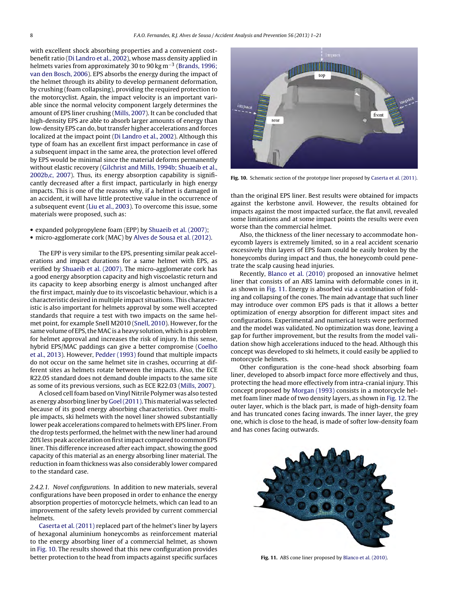with excellent shock absorbing properties and a convenient costbenefit ratio [\(Di](#page-17-0) [Landro](#page-17-0) et [al.,](#page-17-0) [2002\),](#page-17-0) whose mass density applied in helmets varies from approximately 30 to 90 kg m<sup>-3</sup> [\(Brands,](#page-17-0) [1996;](#page-17-0) [van](#page-17-0) [den](#page-17-0) [Bosch,](#page-17-0) [2006\).](#page-17-0) EPS absorbs the energy during the impact of the helmet through its ability to develop permanent deformation, by crushing (foam collapsing), providing the required protection to the motorcyclist. Again, the impact velocity is an important variable since the normal velocity component largely determines the amount of EPS liner crushing [\(Mills,](#page-19-0) [2007\).](#page-19-0) It can be concluded that high-density EPS are able to absorb larger amounts of energy than low-density EPS can do, but transfer higher accelerations and forces localized at the impact point [\(Di](#page-17-0) [Landro](#page-17-0) et [al.,](#page-17-0) [2002\).](#page-17-0) Although this type of foam has an excellent first impact performance in case of a subsequent impact in the same area, the protection level offered by EPS would be minimal since the material deforms permanently without elastic recovery ([Gilchrist](#page-18-0) [and](#page-18-0) [Mills,](#page-18-0) [1994b;](#page-18-0) [Shuaeib](#page-18-0) et [al.,](#page-18-0) [2002b,c,](#page-18-0) [2007\).](#page-18-0) Thus, its energy absorption capability is significantly decreased after a first impact, particularly in high energy impacts. This is one of the reasons why, if a helmet is damaged in an accident, it will have little protective value in the occurrence of a subsequent event ([Liu](#page-19-0) et [al.,](#page-19-0) [2003\).](#page-19-0) To overcome this issue, some materials were proposed, such as:

- expanded polypropylene foam (EPP) by [Shuaeib](#page-20-0) et [al.](#page-20-0) [\(2007\);](#page-20-0)
- micro-agglomerate cork (MAC) by [Alves](#page-17-0) [de](#page-17-0) [Sousa](#page-17-0) et [al.](#page-17-0) [\(2012\).](#page-17-0)

The EPP is very similar to the EPS, presenting similar peak accelerations and impact durations for a same helmet with EPS, as verified by [Shuaeib](#page-20-0) et [al.](#page-20-0) [\(2007\).](#page-20-0) The micro-agglomerate cork has a good energy absorption capacity and high viscoelastic return and its capacity to keep absorbing energy is almost unchanged after the first impact, mainly due to its viscoelastic behaviour, which is a characteristic desired in multiple impact situations. This characteristic is also important for helmets approval by some well accepted standards that require a test with two impacts on the same helmet point, for example Snell M2010 ([Snell,](#page-20-0) [2010\).](#page-20-0) However, for the same volume of EPS, the MAC is a heavy solution, which is a problem for helmet approval and increases the risk of injury. In this sense, hybrid EPS/MAC paddings can give a better compromise [\(Coelho](#page-17-0) et [al.,](#page-17-0) [2013\).](#page-17-0) However, [Pedder](#page-19-0) [\(1993\)](#page-19-0) found that multiple impacts do not occur on the same helmet site in crashes, occurring at different sites as helmets rotate between the impacts. Also, the ECE R22.05 standard does not demand double impacts to the same site as some of its previous versions, such as ECE R22.03 [\(Mills,](#page-19-0) [2007\).](#page-19-0)

A closed cell foam based on Vinyl Nitrile Polymer was also tested as energy absorbing liner by [Goel\(2011\).](#page-18-0) This material was selected because of its good energy absorbing characteristics. Over multiple impacts, ski helmets with the novel liner showed substantially lower peak accelerations compared to helmets with EPS liner. From the drop tests performed, the helmet with the new liner had around 20% less peak acceleration on first impact compared to common EPS liner. This difference increased after each impact, showing the good capacity of this material as an energy absorbing liner material. The reduction in foam thickness was also considerably lower compared to the standard case.

2.4.2.1. Novel configurations. In addition to new materials, several configurations have been proposed in order to enhance the energy absorption properties of motorcycle helmets, which can lead to an improvement of the safety levels provided by current commercial helmets.

[Caserta](#page-17-0) et [al.](#page-17-0) [\(2011\)](#page-17-0) replaced part of the helmet's liner by layers of hexagonal aluminium honeycombs as reinforcement material to the energy absorbing liner of a commercial helmet, as shown in Fig. 10. The results showed that this new configuration provides better protection to the head from impacts against specific surfaces



**Fig. 10.** Schematic section of the prototype liner proposed by [Caserta](#page-17-0) et [al.](#page-17-0) [\(2011\).](#page-17-0)

than the original EPS liner. Best results were obtained for impacts against the kerbstone anvil. However, the results obtained for impacts against the most impacted surface, the flat anvil, revealed some limitations and at some impact points the results were even worse than the commercial helmet.

Also, the thickness of the liner necessary to accommodate honeycomb layers is extremely limited, so in a real accident scenario excessively thin layers of EPS foam could be easily broken by the honeycombs during impact and thus, the honeycomb could penetrate the scalp causing head injuries.

Recently, [Blanco](#page-17-0) et [al.](#page-17-0) [\(2010\)](#page-17-0) proposed an innovative helmet liner that consists of an ABS lamina with deformable cones in it, as shown in Fig. 11. Energy is absorbed via a combination of folding and collapsing of the cones. The main advantage that such liner may introduce over common EPS pads is that it allows a better optimization of energy absorption for different impact sites and configurations. Experimental and numerical tests were performed and the model was validated. No optimization was done, leaving a gap for further improvement, but the results from the model validation show high accelerations induced to the head. Although this concept was developed to ski helmets, it could easily be applied to motorcycle helmets.

Other configuration is the cone-head shock absorbing foam liner, developed to absorb impact force more effectively and thus, protecting the head more effectively from intra-cranial injury. This concept proposed by [Morgan](#page-19-0) [\(1993\)](#page-19-0) consists in a motorcycle helmet foam liner made of two density layers, as shown in [Fig.](#page-8-0) 12. The outer layer, which is the black part, is made of high-density foam and has truncated cones facing inwards. The inner layer, the grey one, which is close to the head, is made of softer low-density foam and has cones facing outwards.



**Fig. 11.** ABS cone liner proposed by [Blanco](#page-17-0) et [al.](#page-17-0) [\(2010\).](#page-17-0)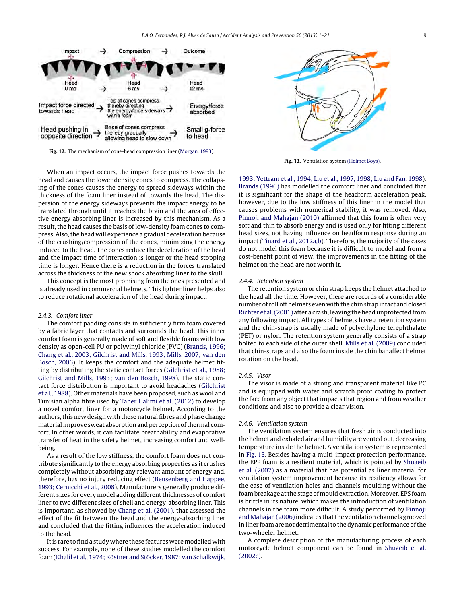<span id="page-8-0"></span>

**Fig. 12.** The mechanism of cone-head compression liner [\(Morgan,](#page-19-0) [1993\).](#page-19-0)

When an impact occurs, the impact force pushes towards the head and causes the lower density cones to compress. The collapsing of the cones causes the energy to spread sideways within the thickness of the foam liner instead of towards the head. The dispersion of the energy sideways prevents the impact energy to be translated through until it reaches the brain and the area of effective energy absorbing liner is increased by this mechanism. As a result, the head causes the basis of low-density foam cones to compress. Also, the head will experience a gradual deceleration because of the crushing/compression of the cones, minimizing the energy induced to the head. The cones reduce the deceleration of the head and the impact time of interaction is longer or the head stopping time is longer. Hence there is a reduction in the forces translated across the thickness of the new shock absorbing liner to the skull.

This concept is the most promising from the ones presented and is already used in commercial helmets. This lighter liner helps also to reduce rotational acceleration of the head during impact.

# 2.4.3. Comfort liner

The comfort padding consists in sufficiently firm foam covered by a fabric layer that contacts and surrounds the head. This inner comfort foam is generally made of soft and flexible foams with low density as open-cell PU or polyvinyl chloride (PVC) ([Brands,](#page-17-0) [1996;](#page-17-0) [Chang](#page-17-0) et [al.,](#page-17-0) [2003;](#page-17-0) [Gilchrist](#page-17-0) [and](#page-17-0) [Mills,](#page-17-0) [1993;](#page-17-0) [Mills,](#page-17-0) [2007;](#page-17-0) [van](#page-17-0) [den](#page-17-0) [Bosch,](#page-17-0) [2006\).](#page-17-0) It keeps the comfort and the adequate helmet fitting by distributing the static contact forces ([Gilchrist](#page-18-0) et [al.,](#page-18-0) [1988;](#page-18-0) [Gilchrist](#page-18-0) [and](#page-18-0) [Mills,](#page-18-0) [1993;](#page-18-0) [van](#page-18-0) [den](#page-18-0) [Bosch,](#page-18-0) [1998\).](#page-18-0) The static contact force distribution is important to avoid headaches ([Gilchrist](#page-18-0) et [al.,](#page-18-0) [1988\).](#page-18-0) Other materials have been proposed, such as wool and Tunisian alpha fibre used by [Taher](#page-20-0) [Halimi](#page-20-0) et [al.](#page-20-0) [\(2012\)](#page-20-0) to develop a novel comfort liner for a motorcycle helmet. According to the authors, this new design with these natural fibres and phase change material improve sweat absorption and perception of thermal comfort. In other words, it can facilitate breathability and evaporative transfer of heat in the safety helmet, increasing comfort and wellbeing.

As a result of the low stiffness, the comfort foam does not contribute significantly to the energy absorbing properties as it crushes completely without absorbing any relevant amount of energy and, therefore, has no injury reducing effect [\(Beusenberg](#page-17-0) [and](#page-17-0) [Happee,](#page-17-0) [1993;](#page-17-0) [Cernicchi](#page-17-0) et [al.,](#page-17-0) [2008\).](#page-17-0) Manufacturers generally produce different sizes for every model adding different thicknesses of comfort liner to two different sizes of shell and energy-absorbing liner. This is important, as showed by [Chang](#page-17-0) et [al.](#page-17-0) [\(2001\),](#page-17-0) that assessed the effect of the fit between the head and the energy-absorbing liner and concluded that the fitting influences the acceleration induced to the head.

It is rare to find a study where these features were modelled with success. For example, none of these studies modelled the comfort foam ([Khalil](#page-18-0) et [al.,](#page-18-0) [1974;Köstner](#page-18-0) [and](#page-18-0) [Stöcker,](#page-18-0) [1987;](#page-18-0) [van](#page-18-0) [Schalkwijk,](#page-18-0)



**Fig. 13.** Ventilation system [\(Helmet](#page-18-0) [Boys\).](#page-18-0)

[1993;](#page-18-0) [Yettram](#page-18-0) et [al.,](#page-18-0) [1994;](#page-18-0) [Liu](#page-18-0) et [al.,](#page-18-0) [1997,](#page-18-0) [1998;](#page-18-0) [Liu](#page-18-0) [and](#page-18-0) [Fan,](#page-18-0) [1998\).](#page-18-0) [Brands](#page-17-0) [\(1996\)](#page-17-0) has modelled the comfort liner and concluded that it is significant for the shape of the headform acceleration peak, however, due to the low stiffness of this liner in the model that causes problems with numerical stability, it was removed. Also, [Pinnoji](#page-20-0) [and](#page-20-0) [Mahajan](#page-20-0) [\(2010\)](#page-20-0) affirmed that this foam is often very soft and thin to absorb energy and is used only for fitting different head sizes, not having influence on headform response during an impact ([Tinard](#page-20-0) et [al.,](#page-20-0) [2012a,b\).](#page-20-0) Therefore, the majority of the cases do not model this foam because it is difficult to model and from a cost-benefit point of view, the improvements in the fitting of the helmet on the head are not worth it.

#### 2.4.4. Retention system

The retention system or chin strap keeps the helmet attached to the head all the time. However, there are records of a considerable number of roll off helmets even with the chin strap intact and closed [Richter](#page-20-0) et [al.\(2001\)](#page-20-0) after a crash, leaving the head unprotected from any following impact. All types of helmets have a retention system and the chin-strap is usually made of polyethylene terephthalate (PET) or nylon. The retention system generally consists of a strap bolted to each side of the outer shell. [Mills](#page-19-0) et [al.](#page-19-0) [\(2009\)](#page-19-0) concluded that chin-straps and also the foam inside the chin bar affect helmet rotation on the head.

# 2.4.5. Visor

The visor is made of a strong and transparent material like PC and is equipped with water and scratch proof coating to protect the face from any object that impacts that region and from weather conditions and also to provide a clear vision.

#### 2.4.6. Ventilation system

The ventilation system ensures that fresh air is conducted into the helmet and exhaled air and humidity are vented out, decreasing temperature inside the helmet. A ventilation system is represented in Fig. 13. Besides having a multi-impact protection performance, the EPP foam is a resilient material, which is pointed by [Shuaeib](#page-20-0) et [al.](#page-20-0) [\(2007\)](#page-20-0) as a material that has potential as liner material for ventilation system improvement because its resiliency allows for the ease of ventilation holes and channels moulding without the foam breakage at the stage of mould extraction. Moreover, EPS foam is brittle in its nature, which makes the introduction of ventilation channels in the foam more difficult. A study performed by [Pinnoji](#page-19-0) and Mahajan (2006) indicates that the ventilation channels grooved in liner foam are not detrimental to the dynamic performance of the two-wheeler helmet.

A complete description of the manufacturing process of each motorcycle helmet component can be found in [Shuaeib](#page-20-0) et [al.](#page-20-0) [\(2002c\).](#page-20-0)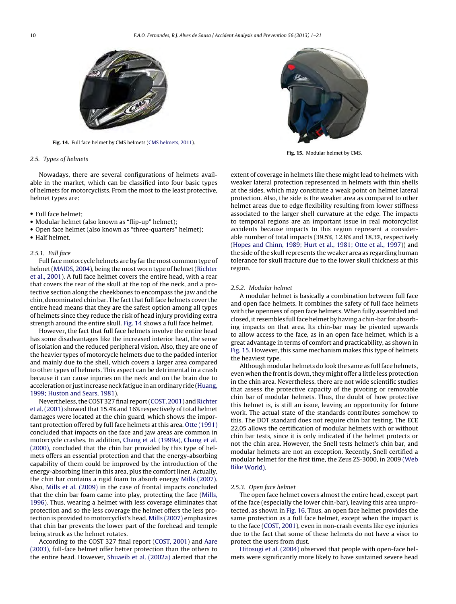

**Fig. 14.** Full face helmet by CMS helmets [\(CMS](#page-17-0) [helmets,](#page-17-0) [2011\).](#page-17-0)

#### 2.5. Types of helmets

Nowadays, there are several configurations of helmets available in the market, which can be classified into four basic types of helmets for motorcyclists. From the most to the least protective, helmet types are:

- Full face helmet;
- Modular helmet (also known as "flip-up" helmet);
- Open face helmet (also known as "three-quarters" helmet);
- Half helmet.

# 2.5.1. Full face

Full face motorcycle helmets are by far the most common type of helmet [\(MAIDS,](#page-19-0) [2004\),](#page-19-0) being the most worn type of helmet [\(Richter](#page-20-0) et [al.,](#page-20-0) [2001\).](#page-20-0) A full face helmet covers the entire head, with a rear that covers the rear of the skull at the top of the neck, and a protective section along the cheekbones to encompass the jaw and the chin, denominated chin bar. The fact that full face helmets cover the entire head means that they are the safest option among all types of helmets since they reduce the risk of head injury providing extra strength around the entire skull. Fig. 14 shows a full face helmet.

However, the fact that full face helmets involve the entire head has some disadvantages like the increased interior heat, the sense of isolation and the reduced peripheral vision. Also, they are one of the heavier types of motorcycle helmets due to the padded interior and mainly due to the shell, which covers a larger area compared to other types of helmets. This aspect can be detrimental in a crash because it can cause injuries on the neck and on the brain due to acceleration or just increase neck fatigue in an ordinary ride ([Huang,](#page-18-0) [1999;](#page-18-0) [Huston](#page-18-0) [and](#page-18-0) [Sears,](#page-18-0) [1981\).](#page-18-0)

Nevertheless, the COST 327 final report ([COST,](#page-17-0) [2001\)](#page-17-0) and [Richter](#page-20-0) et al. (2001) showed that 15.4% and 16% respectively of total helmet damages were located at the chin guard, which shows the important protection offered by full face helmets at this area. [Otte](#page-19-0) [\(1991\)](#page-19-0) concluded that impacts on the face and jaw areas are common in motorcycle crashes. In addition, [Chang](#page-17-0) et [al.](#page-17-0) [\(1999a\),](#page-17-0) [Chang](#page-17-0) et [al.](#page-17-0) [\(2000\),](#page-17-0) concluded that the chin bar provided by this type of helmets offers an essential protection and that the energy-absorbing capability of them could be improved by the introduction of the energy-absorbing liner in this area, plus the comfort liner. Actually, the chin bar contains a rigid foam to absorb energy [Mills](#page-19-0) [\(2007\).](#page-19-0) Also, [Mills](#page-19-0) et [al.](#page-19-0) [\(2009\)](#page-19-0) in the case of frontal impacts concluded that the chin bar foam came into play, protecting the face ([Mills,](#page-19-0) [1996\).](#page-19-0) Thus, wearing a helmet with less coverage eliminates that protection and so the less coverage the helmet offers the less protection is provided to motorcyclist's head. [Mills](#page-19-0) [\(2007\)](#page-19-0) emphasizes that chin bar prevents the lower part of the forehead and temple being struck as the helmet rotates.

According to the COST 327 final report ([COST,](#page-17-0) [2001\)](#page-17-0) and [Aare](#page-17-0) [\(2003\),](#page-17-0) full-face helmet offer better protection than the others to the entire head. However, [Shuaeib](#page-20-0) et [al.](#page-20-0) [\(2002a\)](#page-20-0) alerted that the



**Fig. 15.** Modular helmet by CMS.

extent of coverage in helmets like these might lead to helmets with weaker lateral protection represented in helmets with thin shells at the sides, which may constitute a weak point on helmet lateral protection. Also, the side is the weaker area as compared to other helmet areas due to edge flexibility resulting from lower stiffness associated to the larger shell curvature at the edge. The impacts to temporal regions are an important issue in real motorcyclist accidents because impacts to this region represent a considerable number of total impacts (39.5%, 12.8% and 18.3%, respectively [\(Hopes](#page-18-0) [and](#page-18-0) [Chinn,](#page-18-0) [1989;](#page-18-0) [Hurt](#page-18-0) et [al.,](#page-18-0) [1981;](#page-18-0) [Otte](#page-18-0) et [al.,](#page-18-0) [1997\)\)](#page-18-0) and the side ofthe skull represents the weaker area as regarding human tolerance for skull fracture due to the lower skull thickness at this region.

## 2.5.2. Modular helmet

A modular helmet is basically a combination between full face and open face helmets. It combines the safety of full face helmets with the openness of open face helmets. When fully assembled and closed, it resembles full face helmet by having a chin-bar for absorbing impacts on that area. Its chin-bar may be pivoted upwards to allow access to the face, as in an open face helmet, which is a great advantage in terms of comfort and practicability, as shown in Fig. 15. However, this same mechanism makes this type of helmets the heaviest type.

Although modular helmets do look the same as full face helmets, even when the front is down, they might offer a little less protection in the chin area. Nevertheless, there are not wide scientific studies that assess the protective capacity of the pivoting or removable chin bar of modular helmets. Thus, the doubt of how protective this helmet is, is still an issue, leaving an opportunity for future work. The actual state of the standards contributes somehow to this. The DOT standard does not require chin bar testing. The ECE 22.05 allows the certification of modular helmets with or without chin bar tests, since it is only indicated if the helmet protects or not the chin area. However, the Snell tests helmet's chin bar, and modular helmets are not an exception. Recently, Snell certified a modular helmet for the first time, the Zeus ZS-3000, in 2009 [\(Web](#page-20-0) [Bike](#page-20-0) [World\).](#page-20-0)

#### 2.5.3. Open face helmet

The open face helmet covers almost the entire head, except part of the face (especially the lower chin-bar), leaving this area unprotected, as shown in [Fig.](#page-10-0) 16. Thus, an open face helmet provides the same protection as a full face helmet, except when the impact is to the face ([COST,](#page-17-0) [2001\),](#page-17-0) even in non-crash events like eye injuries due to the fact that some of these helmets do not have a visor to protect the users from dust.

[Hitosugi](#page-18-0) et [al.](#page-18-0) [\(2004\)](#page-18-0) observed that people with open-face helmets were significantly more likely to have sustained severe head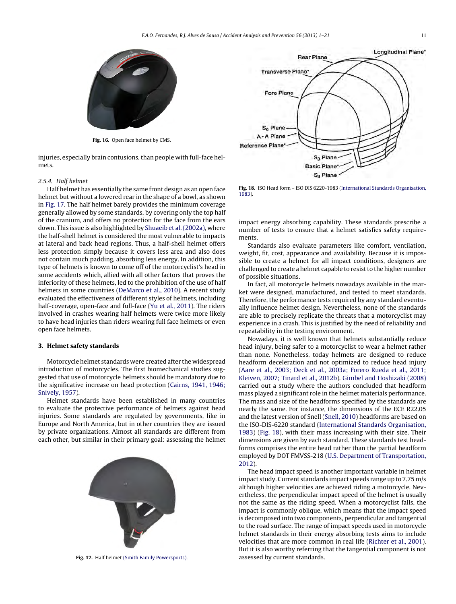<span id="page-10-0"></span>

**Fig. 16.** Open face helmet by CMS.

injuries, especially brain contusions, than people with full-face helmets.

## 2.5.4. Half helmet

Half helmet has essentially the same front design as an open face helmet but without a lowered rear in the shape of a bowl, as shown in Fig. 17. The half helmet barely provides the minimum coverage generally allowed by some standards, by covering only the top half of the cranium, and offers no protection for the face from the ears down. This issue is also highlighted by [Shuaeib](#page-20-0) et [al.\(2002a\),](#page-20-0) where the half-shell helmet is considered the most vulnerable to impacts at lateral and back head regions. Thus, a half-shell helmet offers less protection simply because it covers less area and also does not contain much padding, absorbing less energy. In addition, this type of helmets is known to come off of the motorcyclist's head in some accidents which, allied with all other factors that proves the inferiority of these helmets, led to the prohibition of the use of half helmets in some countries ([DeMarco](#page-17-0) et [al.,](#page-17-0) [2010\).](#page-17-0) A recent study evaluated the effectiveness of different styles of helmets, including half-coverage, open-face and full-face [\(Yu](#page-20-0) et [al.,](#page-20-0) [2011\).](#page-20-0) The riders involved in crashes wearing half helmets were twice more likely to have head injuries than riders wearing full face helmets or even open face helmets.

# **3. Helmet safety standards**

Motorcycle helmet standards were created after the widespread introduction of motorcycles. The first biomechanical studies suggested that use of motorcycle helmets should be mandatory due to the significative increase on head protection ([Cairns,](#page-17-0) [1941,](#page-17-0) [1946;](#page-17-0) [Snively,](#page-17-0) [1957\).](#page-17-0)

Helmet standards have been established in many countries to evaluate the protective performance of helmets against head injuries. Some standards are regulated by governments, like in Europe and North America, but in other countries they are issued by private organizations. Almost all standards are different from each other, but similar in their primary goal: assessing the helmet



**Fig. 17.** Half helmet [\(Smith](#page-20-0) [Family](#page-20-0) [Powersports\).](#page-20-0)



**Fig. 18.** ISO Head form – ISO DIS 6220-1983 ([International](#page-18-0) [Standards](#page-18-0) [Organisation,](#page-18-0) [1983\).](#page-18-0)

impact energy absorbing capability. These standards prescribe a number of tests to ensure that a helmet satisfies safety requirements.

Standards also evaluate parameters like comfort, ventilation, weight, fit, cost, appearance and availability. Because it is impossible to create a helmet for all impact conditions, designers are challenged to create a helmet capable to resist to the higher number of possible situations.

In fact, all motorcycle helmets nowadays available in the market were designed, manufactured, and tested to meet standards. Therefore, the performance tests required by any standard eventually influence helmet design. Nevertheless, none of the standards are able to precisely replicate the threats that a motorcyclist may experience in a crash. This is justified by the need of reliability and repeatability in the testing environment.

Nowadays, it is well known that helmets substantially reduce head injury, being safer to a motorcyclist to wear a helmet rather than none. Nonetheless, today helmets are designed to reduce headform deceleration and not optimized to reduce head injury [\(Aare](#page-17-0) et [al.,](#page-17-0) [2003;](#page-17-0) [Deck](#page-17-0) et [al.,](#page-17-0) [2003a;](#page-17-0) [Forero](#page-17-0) [Rueda](#page-17-0) et [al.,](#page-17-0) [2011;](#page-17-0) [Kleiven,](#page-17-0) [2007;](#page-17-0) [Tinard](#page-17-0) et [al.,](#page-17-0) [2012b\).](#page-17-0) [Gimbel](#page-18-0) [and](#page-18-0) [Hoshizaki](#page-18-0) [\(2008\)](#page-18-0) carried out a study where the authors concluded that headform mass played a significant role in the helmet materials performance. The mass and size of the headforms specified by the standards are nearly the same. For instance, the dimensions of the ECE R22.05 and the latest version of Snell ([Snell,](#page-20-0) [2010\)](#page-20-0) headforms are based on the ISO-DIS-6220 standard [\(International](#page-18-0) [Standards](#page-18-0) [Organisation,](#page-18-0) [1983\)](#page-18-0) (Fig. 18), with their mass increasing with their size. Their dimensions are given by each standard. These standards test headforms comprises the entire head rather than the partial headform employed by DOT FMVSS-218 [\(U.S.](#page-20-0) [Department](#page-20-0) [of](#page-20-0) [Transportation,](#page-20-0) [2012\).](#page-20-0)

The head impact speed is another important variable in helmet impact study. Current standards impact speeds range up to 7.75 m/s although higher velocities are achieved riding a motorcycle. Nevertheless, the perpendicular impact speed of the helmet is usually not the same as the riding speed. When a motorcyclist falls, the impact is commonly oblique, which means that the impact speed is decomposed into two components, perpendicular and tangential to the road surface. The range of impact speeds used in motorcycle helmet standards in their energy absorbing tests aims to include velocities that are more common in real life ([Richter](#page-20-0) et [al.,](#page-20-0) [2001\).](#page-20-0) But it is also worthy referring that the tangential component is not assessed by current standards.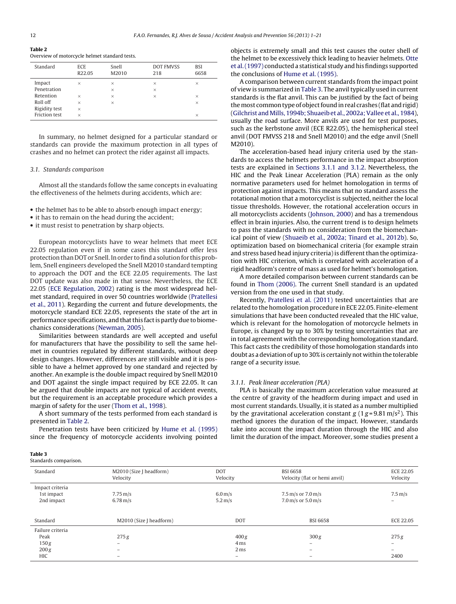| Table 2                                       |  |
|-----------------------------------------------|--|
| Overview of motorcycle helmet standard tests. |  |

| Standard<br>Snell<br>ECE<br><b>DOT FMVSS</b><br><b>BSI</b><br>R22.05<br>M2010<br>6658<br>218<br>Impact<br>$\times$<br>$\times$<br>×<br>$\times$<br>Penetration<br>×<br>$\times$<br>Retention<br>×<br>$\times$<br>$\times$<br>$\times$<br>Roll off<br>$\times$<br>$\times$<br>$\times$<br>Rigidity test<br>×<br><b>Friction test</b><br>×<br>$\times$ |  |  |  |
|------------------------------------------------------------------------------------------------------------------------------------------------------------------------------------------------------------------------------------------------------------------------------------------------------------------------------------------------------|--|--|--|
|                                                                                                                                                                                                                                                                                                                                                      |  |  |  |
|                                                                                                                                                                                                                                                                                                                                                      |  |  |  |

In summary, no helmet designed for a particular standard or standards can provide the maximum protection in all types of crashes and no helmet can protect the rider against all impacts.

# 3.1. Standards comparison

Almost all the standards follow the same concepts in evaluating the effectiveness of the helmets during accidents, which are:

- the helmet has to be able to absorb enough impact energy;
- it has to remain on the head during the accident;
- it must resist to penetration by sharp objects.

European motorcyclists have to wear helmets that meet ECE 22.05 regulation even if in some cases this standard offer less protection than DOT or Snell. In order to find a solution for this problem, Snell engineers developed the Snell M2010 standard tempting to approach the DOT and the ECE 22.05 requirements. The last DOT update was also made in that sense. Nevertheless, the ECE 22.05 [\(ECE](#page-17-0) [Regulation,](#page-17-0) [2002\)](#page-17-0) rating is the most widespread helmet standard, required in over 50 countries worldwide [\(Pratellesi](#page-20-0) et [al.,](#page-20-0) [2011\).](#page-20-0) Regarding the current and future developments, the motorcycle standard ECE 22.05, represents the state of the art in performance specifications, and that this fact is partly due to biomechanics considerations [\(Newman,](#page-19-0) [2005\).](#page-19-0)

Similarities between standards are well accepted and useful for manufacturers that have the possibility to sell the same helmet in countries regulated by different standards, without deep design changes. However, differences are still visible and it is possible to have a helmet approved by one standard and rejected by another. An example is the double impact required by Snell M2010 and DOT against the single impact required by ECE 22.05. It can be argued that double impacts are not typical of accident events, but the requirement is an acceptable procedure which provides a margin of safety for the user ([Thom](#page-20-0) et [al.,](#page-20-0) [1998\).](#page-20-0)

A short summary of the tests performed from each standard is presented in Table 2.

Penetration tests have been criticized by [Hume](#page-18-0) et [al.](#page-18-0) [\(1995\)](#page-18-0) since the frequency of motorcycle accidents involving pointed

objects is extremely small and this test causes the outer shell of the helmet to be excessively thick leading to heavier helmets. [Otte](#page-19-0) et [al.\(1997\)](#page-19-0) conducted a statistical study andhisfindings supported the conclusions of [Hume](#page-18-0) et [al.](#page-18-0) [\(1995\).](#page-18-0)

A comparison between current standards from the impact point of view is summarized in Table 3. The anvil typically used in current standards is the flat anvil. This can be justified by the fact of being the most common type of object found in real crashes (flat and rigid) [\(Gilchrist](#page-18-0) and Mills, [1994b;](#page-18-0) [Shuaeib](#page-18-0) et [al.,](#page-18-0) 2002a; Vallee et al., [1984\),](#page-18-0) usually the road surface. More anvils are used for test purposes, such as the kerbstone anvil (ECE R22.05), the hemispherical steel anvil (DOT FMVSS 218 and Snell M2010) and the edge anvil (Snell M2010).

The acceleration-based head injury criteria used by the standards to access the helmets performance in the impact absorption tests are explained in Sections 3.1.1 and 3.1.2. Nevertheless, the HIC and the Peak Linear Acceleration (PLA) remain as the only normative parameters used for helmet homologation in terms of protection against impacts. This means that no standard assess the rotational motion that a motorcyclist is subjected, neither the local tissue thresholds. However, the rotational acceleration occurs in all motorcyclists accidents [\(Johnson,](#page-18-0) [2000\)](#page-18-0) and has a tremendous effect in brain injuries. Also, the current trend is to design helmets to pass the standards with no consideration from the biomechanical point of view [\(Shuaeib](#page-20-0) et [al.,](#page-20-0) [2002a;](#page-20-0) [Tinard](#page-20-0) et [al.,](#page-20-0) [2012b\).](#page-20-0) So, optimization based on biomechanical criteria (for example strain and stress based head injury criteria) is different than the optimization with HIC criterion, which is correlated with acceleration of a rigid headform's centre of mass as used for helmet's homologation.

A more detailed comparison between current standards can be found in [Thom](#page-20-0) [\(2006\).](#page-20-0) The current Snell standard is an updated version from the one used in that study.

Recently, [Pratellesi](#page-20-0) et [al.](#page-20-0) [\(2011\)](#page-20-0) tested uncertainties that are related to the homologation procedure in ECE 22.05. Finite-element simulations that have been conducted revealed that the HIC value, which is relevant for the homologation of motorcycle helmets in Europe, is changed by up to 30% by testing uncertainties that are in total agreement with the corresponding homologation standard. This fact casts the credibility of those homologation standards into doubt as a deviation of up to 30%is certainly not within the tolerable range of a security issue.

# 3.1.1. Peak linear acceleration (PLA)

PLA is basically the maximum acceleration value measured at the centre of gravity of the headform during impact and used in most current standards. Usually, it is stated as a number multiplied by the gravitational acceleration constant  $g(1g=9.81 \text{ m/s}^2)$ . This method ignores the duration of the impact. However, standards take into account the impact duration through the HIC and also limit the duration of the impact. Moreover, some studies present a

| Standards comparison.                       |                                                |                                   |                                                                                              |                              |
|---------------------------------------------|------------------------------------------------|-----------------------------------|----------------------------------------------------------------------------------------------|------------------------------|
| Standard                                    | M2010 (Size J headform)<br>Velocity            | <b>DOT</b><br>Velocity            | <b>BSI 6658</b><br>Velocity (flat or hemi anvil)                                             | <b>ECE 22.05</b><br>Velocity |
| Impact criteria<br>1st impact<br>2nd impact | $7.75 \,\mathrm{m/s}$<br>$6.78 \,\mathrm{m/s}$ | $6.0 \,\mathrm{m/s}$<br>$5.2$ m/s | $7.5 \,\mathrm{m/s}$ or $7.0 \,\mathrm{m/s}$<br>$7.0 \,\mathrm{m/s}$ or $5.0 \,\mathrm{m/s}$ | $7.5 \,\mathrm{m/s}$<br>-    |
| Standard                                    | M2010 (Size J headform)                        | <b>DOT</b>                        | <b>BSI 6658</b>                                                                              | <b>ECE 22.05</b>             |
| Failure criteria                            |                                                |                                   |                                                                                              |                              |
| Peak                                        | 275g                                           | 400g                              | 300g                                                                                         | 275g                         |
| 150g                                        |                                                | 4 <sub>ms</sub>                   | -                                                                                            | -                            |
| 200g                                        | -                                              | 2 <sub>ms</sub>                   | -                                                                                            | $-$                          |
| <b>HIC</b>                                  | -                                              | $\overline{\phantom{0}}$          | -                                                                                            | 2400                         |

**Table 2**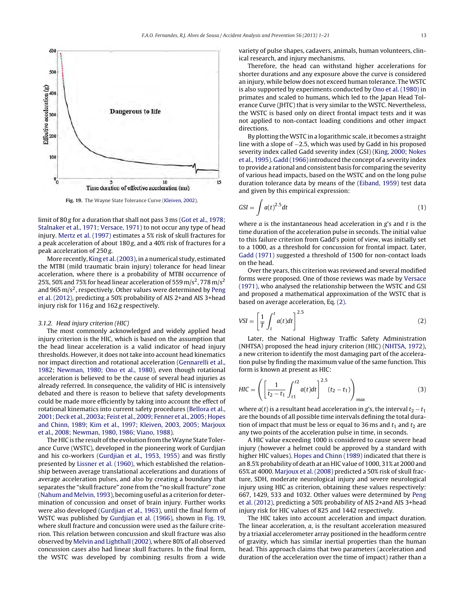

**Fig. 19.** The Wayne State Tolerance Curve ([Kleiven,](#page-18-0) [2002\).](#page-18-0)

limit of 80 g for a duration that shall not pass 3 ms [\(Got](#page-18-0) et [al.,](#page-18-0) [1978;](#page-18-0) [Stalnaker](#page-18-0) et [al.,](#page-18-0) [1971;](#page-18-0) [Versace,](#page-18-0) [1971\)](#page-18-0) to not occur any type of head injury. [Mertz](#page-19-0) et [al.](#page-19-0) [\(1997\)](#page-19-0) estimates a 5% risk of skull fractures for a peak acceleration of about 180 g, and a 40% risk of fractures for a peak acceleration of 250 g.

More recently, [King](#page-18-0) et [al.\(2003\),](#page-18-0) in a numerical study, estimated the MTBI (mild traumatic brain injury) tolerance for head linear acceleration, where there is a probability of MTBI occurrence of 25%, 50% and 75% for head linear acceleration of 559 m/s<sup>2</sup>, 778 m/s<sup>2</sup> and 965 m/s<sup>2</sup>, respectively. Other values were determined by [Peng](#page-19-0) et [al.](#page-19-0) [\(2012\),](#page-19-0) predicting a 50% probability of AIS 2+and AIS 3+head injury risk for 116 g and 162 g respectively.

#### 3.1.2. Head injury criterion (HIC)

The most commonly acknowledged and widely applied head injury criterion is the HIC, which is based on the assumption that the head linear acceleration is a valid indicator of head injury thresholds. However, it does not take into account head kinematics nor impact direction and rotational acceleration ([Gennarelli](#page-18-0) et [al.,](#page-18-0) [1982;](#page-18-0) [Newman,](#page-18-0) [1980;](#page-18-0) [Ono](#page-18-0) et [al.,](#page-18-0) [1980\),](#page-18-0) even though rotational acceleration is believed to be the cause of several head injuries as already referred. In consequence, the validity of HIC is intensively debated and there is reason to believe that safety developments could be made more efficiently by taking into account the effect of rotational kinematics into current safety procedures ([Bellora](#page-17-0) et [al.,](#page-17-0) [2001;](#page-17-0) [Deck](#page-17-0) et [al.,](#page-17-0) [2003a;](#page-17-0) [Feist](#page-17-0) et [al.,](#page-17-0) [2009;](#page-17-0) [Fenner](#page-17-0) et [al.,](#page-17-0) [2005;](#page-17-0) [Hopes](#page-17-0) [and](#page-17-0) [Chinn,](#page-17-0) [1989;](#page-17-0) [Kim](#page-17-0) et [al.,](#page-17-0) [1997;](#page-17-0) [Kleiven,](#page-17-0) [2003,](#page-17-0) [2005;](#page-17-0) [Marjoux](#page-17-0) et [al.,](#page-17-0) [2008;](#page-17-0) [Newman,](#page-17-0) [1980,](#page-17-0) [1986;](#page-17-0) [Viano,](#page-17-0) [1988\).](#page-17-0)

The HIC is the result of the evolution from the Wayne State Tolerance Curve (WSTC), developed in the pioneering work of Gurdjian and his co-workers [\(Gurdjian](#page-18-0) et [al.,](#page-18-0) [1953,](#page-18-0) [1955\)](#page-18-0) and was firstly presented by [Lissner](#page-19-0) et [al.](#page-19-0) [\(1960\),](#page-19-0) which established the relationship between average translational accelerations and durations of average acceleration pulses, and also by creating a boundary that separates the "skull fracture" zone from the "no skull fracture" zone ([Nahum](#page-19-0) [and](#page-19-0) [Melvin,](#page-19-0) [1993\),](#page-19-0) becoming useful as a criterion for determination of concussion and onset of brain injury. Further works were also developed ([Gurdjian](#page-18-0) et [al.,](#page-18-0) [1963\),](#page-18-0) until the final form of WSTC was published by [Gurdjian](#page-18-0) et [al.](#page-18-0) [\(1966\),](#page-18-0) shown in Fig. 19, where skull fracture and concussion were used as the failure criterion. This relation between concussion and skull fracture was also observed by [Melvin](#page-19-0) [and](#page-19-0) [Lighthall](#page-19-0) [\(2002\),](#page-19-0) where 80% of all observed concussion cases also had linear skull fractures. In the final form, the WSTC was developed by combining results from a wide

variety of pulse shapes, cadavers, animals, human volunteers, clinical research, and injury mechanisms.

Therefore, the head can withstand higher accelerations for shorter durations and any exposure above the curve is considered an injury, while below does not exceed human tolerance. The WSTC is also supported by experiments conducted by [Ono](#page-19-0) et [al.](#page-19-0) [\(1980\)](#page-19-0) in primates and scaled to humans, which led to the Japan Head Tolerance Curve (JHTC) that is very similar to the WSTC. Nevertheless, the WSTC is based only on direct frontal impact tests and it was not applied to non-contact loading conditions and other impact directions.

By plotting theWSTC in a logarithmic scale, it becomes a straight line with a slope of −2.5, which was used by Gadd in his proposed severity index called Gadd severity index (GSI) ([King,](#page-18-0) [2000;](#page-18-0) [Nokes](#page-18-0) et [al.,](#page-18-0) [1995\).](#page-18-0) [Gadd](#page-18-0) (1966) introduced the concept of a severity index to provide a rational and consistent basis for comparing the severity of various head impacts, based on the WSTC and on the long pulse duration tolerance data by means of the [\(Eiband,](#page-18-0) [1959\)](#page-18-0) test data and given by this empirical expression:

$$
GSI = \int a(t)^{2.5} dt
$$
 (1)

where  $a$  is the instantaneous head acceleration in  $g$ 's and  $t$  is the time duration of the acceleration pulse in seconds. The initial value to this failure criterion from Gadd's point of view, was initially set to a 1000, as a threshold for concussion for frontal impact. Later, [Gadd](#page-18-0) [\(1971\)](#page-18-0) suggested a threshold of 1500 for non-contact loads on the head.

Over the years, this criterion was reviewed and several modified forms were proposed. One of those reviews was made by [Versace](#page-20-0) [\(1971\),](#page-20-0) who analysed the relationship between the WSTC and GSI and proposed a mathematical approximation of the WSTC that is based on average acceleration, Eq. (2).

$$
VSI = \left[\frac{1}{T} \int_{t}^{t} a(t)dt\right]^{2.5}
$$
 (2)

Later, the National Highway Traffic Safety Administration (NHTSA) proposed the head injury criterion (HIC) [\(NHTSA,](#page-19-0) [1972\),](#page-19-0) a new criterion to identify the most damaging part of the acceleration pulse by finding the maximum value of the same function. This form is known at present as HIC:

$$
HIC = \left( \left[ \frac{1}{t_2 - t_1} \int_{t_1}^{t_2} a(t) dt \right]^{2.5} (t_2 - t_1) \right)_{\text{max}} \tag{3}
$$

where  $a(t)$  is a resultant head acceleration in g's, the interval  $t_2 - t_1$ are the bounds of all possible time intervals defining the total duration of impact that must be less or equal to 36 ms and  $t_1$  and  $t_2$  are any two points of the acceleration pulse in time, in seconds.

A HIC value exceeding 1000 is considered to cause severe head injury (however a helmet could be approved by a standard with higher HIC values). [Hopes](#page-18-0) [and](#page-18-0) [Chinn](#page-18-0) [\(1989\)](#page-18-0) indicated that there is an 8.5% probability of death at an HIC value of 1000, 31% at 2000 and 65% at 4000. [Marjoux](#page-19-0) et [al.](#page-19-0) [\(2008\)](#page-19-0) predicted a 50% risk of skull fracture, SDH, moderate neurological injury and severe neurological injury using HIC as criterion, obtaining these values respectively: 667, 1429, 533 and 1032. Other values were determined by [Peng](#page-19-0) et [al.](#page-19-0) [\(2012\),](#page-19-0) predicting a 50% probability of AIS 2+and AIS 3+head injury risk for HIC values of 825 and 1442 respectively.

The HIC takes into account acceleration and impact duration. The linear acceleration, a, is the resultant acceleration measured by a triaxial accelerometer array positioned in the headform centre of gravity, which has similar inertial properties than the human head. This approach claims that two parameters (acceleration and duration of the acceleration over the time of impact) rather than a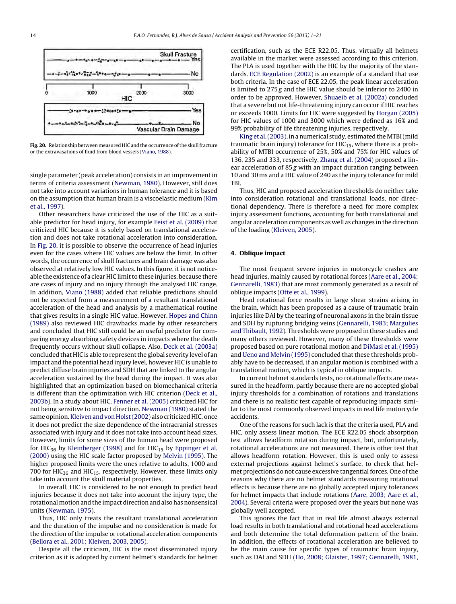

Fig. 20. Relationship between measured HIC and the occurrence of the skull fracture or the extravasations of fluid from blood vessels [\(Viano,](#page-20-0) [1988\).](#page-20-0)

single parameter (peak acceleration) consists in an improvement in terms of criteria assessment [\(Newman,](#page-19-0) [1980\).](#page-19-0) However, still does not take into account variations in human tolerance and it is based on the assumption that human brain is a viscoelastic medium ([Kim](#page-18-0) et [al.,](#page-18-0) [1997\).](#page-18-0)

Other researchers have criticized the use of the HIC as a suitable predictor for head injury, for example [Feist](#page-18-0) et [al.](#page-18-0) [\(2009\)](#page-18-0) that criticized HIC because it is solely based on translational acceleration and does not take rotational acceleration into consideration. In Fig. 20, it is possible to observe the occurrence of head injuries even for the cases where HIC values are below the limit. In other words, the occurrence of skull fractures and brain damage was also observed at relatively low HIC values. In this figure, it is not noticeable the existence of a clear HIC limit to these injuries, because there are cases of injury and no injury through the analysed HIC range. In addition, [Viano](#page-20-0) [\(1988\)](#page-20-0) added that reliable predictions should not be expected from a measurement of a resultant translational acceleration of the head and analysis by a mathematical routine that gives results in a single HIC value. However, [Hopes](#page-18-0) [and](#page-18-0) [Chinn](#page-18-0) [\(1989\)](#page-18-0) also reviewed HIC drawbacks made by other researchers and concluded that HIC still could be an useful predictor for comparing energy absorbing safety devices in impacts where the death frequently occurs without skull collapse. Also, [Deck](#page-17-0) et [al.](#page-17-0) [\(2003a\)](#page-17-0) concluded that HIC is able to represent the global severity level of an impact and the potential head injury level, however HIC is unable to predict diffuse brain injuries and SDH that are linked to the angular acceleration sustained by the head during the impact. It was also highlighted that an optimization based on biomechanical criteria is different than the optimization with HIC criterion ([Deck](#page-17-0) et [al.,](#page-17-0) [2003b\).](#page-17-0) In a study about HIC, [Fenner](#page-18-0) et [al.](#page-18-0) [\(2005\)](#page-18-0) criticized HIC for not being sensitive to impact direction. [Newman](#page-19-0) [\(1980\)](#page-19-0) stated the same opinion. [Kleiven](#page-18-0) [and](#page-18-0) [von](#page-18-0) [Holst\(2002\)](#page-18-0) also criticized HIC, once it does not predict the size dependence of the intracranial stresses associated with injury and it does not take into account head sizes. However, limits for some sizes of the human head were proposed for HIC<sub>36</sub> by [Kleinberger](#page-18-0) [\(1998\)](#page-18-0) and for HIC<sub>15</sub> by [Eppinger](#page-18-0) et [al.](#page-18-0) [\(2000\)](#page-18-0) using the HIC scale factor proposed by [Melvin](#page-19-0) [\(1995\).](#page-19-0) The higher proposed limits were the ones relative to adults, 1000 and 700 for HIC<sub>36</sub> and HIC<sub>15</sub>, respectively. However, these limits only take into account the skull material properties.

In overall, HIC is considered to be not enough to predict head injuries because it does not take into account the injury type, the rotationalmotion and the impact direction and also has nonsensical units [\(Newman,](#page-19-0) [1975\).](#page-19-0)

Thus, HIC only treats the resultant translational acceleration and the duration of the impulse and no consideration is made for the direction of the impulse or rotational acceleration components ([Bellora](#page-17-0) et [al.,](#page-17-0) [2001;](#page-17-0) [Kleiven,](#page-17-0) [2003,](#page-17-0) [2005\).](#page-17-0)

Despite all the criticism, HIC is the most disseminated injury criterion as it is adopted by current helmet's standards for helmet certification, such as the ECE R22.05. Thus, virtually all helmets available in the market were assessed according to this criterion. The PLA is used together with the HIC by the majority of the standards. [ECE](#page-17-0) [Regulation](#page-17-0) [\(2002\)](#page-17-0) is an example of a standard that use both criteria. In the case of ECE 22.05, the peak linear acceleration is limited to 275 g and the HIC value should be inferior to 2400 in order to be approved. However, [Shuaeib](#page-20-0) et [al.](#page-20-0) [\(2002a\)](#page-20-0) concluded that a severe but not life-threatening injury can occur if HIC reaches or exceeds 1000. Limits for HIC were suggested by [Horgan](#page-18-0) [\(2005\)](#page-18-0) for HIC values of 1000 and 3000 which were defined as 16% and 99% probability of life threatening injuries, respectively.

[King](#page-18-0) et al. (2003), in a numerical study, estimated the MTBI (mild traumatic brain injury) tolerance for  $HIC_{15}$ , where there is a probability of MTBI occurrence of 25%, 50% and 75% for HIC values of 136, 235 and 333, respectively. [Zhang](#page-20-0) et [al.](#page-20-0) [\(2004\)](#page-20-0) proposed a linear acceleration of 85 g with an impact duration ranging between 10 and 30 ms and a HIC value of 240 as the injury tolerance for mild TBI.

Thus, HIC and proposed acceleration thresholds do neither take into consideration rotational and translational loads, nor directional dependency. There is therefore a need for more complex injury assessment functions, accounting for both translational and angular acceleration components as well as changes in the direction of the loading [\(Kleiven,](#page-18-0) [2005\).](#page-18-0)

# **4. Oblique impact**

The most frequent severe injuries in motorcycle crashes are head injuries, mainly caused by rotational forces ([Aare](#page-17-0) et [al.,](#page-17-0) [2004;](#page-17-0) [Gennarelli,](#page-17-0) [1983\)](#page-17-0) that are most commonly generated as a result of oblique impacts [\(Otte](#page-19-0) et [al.,](#page-19-0) [1999\).](#page-19-0)

Head rotational force results in large shear strains arising in the brain, which has been proposed as a cause of traumatic brain injuries like DAI by the tearing of neuronal axons in the brain tissue and SDH by rupturing bridging veins ([Gennarelli,](#page-18-0) [1983;](#page-18-0) [Margulies](#page-18-0) [and](#page-18-0) [Thibault,](#page-18-0) [1992\).](#page-18-0) Thresholds were proposed in these studies and many others reviewed. However, many of these thresholds were proposed based on pure rotational motion and [DiMasi](#page-17-0) et [al.](#page-17-0) [\(1995\)](#page-17-0) and [Ueno](#page-20-0) [and](#page-20-0) [Melvin](#page-20-0) [\(1995\)](#page-20-0) concluded that these thresholds probably have to be decreased, if an angular motion is combined with a translational motion, which is typical in oblique impacts.

In current helmet standards tests, no rotational effects are measured in the headform, partly because there are no accepted global injury thresholds for a combination of rotations and translations and there is no realistic test capable of reproducing impacts similar to the most commonly observed impacts in real life motorcycle accidents.

One of the reasons for such lack is that the criteria used, PLA and HIC, only assess linear motion. The ECE R22.05 shock absorption test allows headform rotation during impact, but, unfortunately, rotational accelerations are not measured. There is other test that allows headform rotation. However, this is used only to assess external projections against helmet's surface, to check that helmet projections do not cause excessive tangential forces. One of the reasons why there are no helmet standards measuring rotational effects is because there are no globally accepted injury tolerances for helmet impacts that include rotations ([Aare,](#page-17-0) [2003;](#page-17-0) [Aare](#page-17-0) et [al.,](#page-17-0) [2004\).](#page-17-0) Several criteria were proposed over the years but none was globally well accepted.

This ignores the fact that in real life almost always external load results in both translational and rotational head accelerations and both determine the total deformation pattern of the brain. In addition, the effects of rotational acceleration are believed to be the main cause for specific types of traumatic brain injury, such as DAI and SDH [\(Ho,](#page-18-0) [2008;](#page-18-0) [Glaister,](#page-18-0) [1997;](#page-18-0) [Gennarelli,](#page-18-0) [1981,](#page-18-0)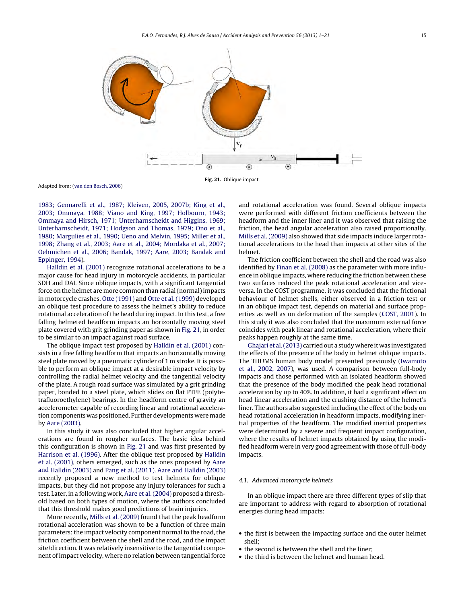

Adapted from: [\(van](#page-20-0) [den](#page-20-0) [Bosch,](#page-20-0) [2006\)](#page-20-0)

[1983;](#page-18-0) [Gennarelli](#page-18-0) et [al.,](#page-18-0) [1987;](#page-18-0) [Kleiven,](#page-18-0) [2005,](#page-18-0) [2007b;](#page-18-0) [King](#page-18-0) et [al.,](#page-18-0) [2003;](#page-18-0) [Ommaya,](#page-18-0) [1988;](#page-18-0) [Viano](#page-18-0) [and](#page-18-0) [King,](#page-18-0) [1997;](#page-18-0) [Holbourn,](#page-18-0) [1943;](#page-18-0) [Ommaya](#page-18-0) [and](#page-18-0) [Hirsch,](#page-18-0) [1971;](#page-18-0) [Unterharnscheidt](#page-18-0) [and](#page-18-0) [Higgins,](#page-18-0) [1969;](#page-18-0) [Unterharnscheidt,](#page-18-0) [1971;](#page-18-0) [Hodgson](#page-18-0) [and](#page-18-0) [Thomas,](#page-18-0) [1979;](#page-18-0) [Ono](#page-18-0) et [al.,](#page-18-0) [1980;](#page-18-0) [Margulies](#page-18-0) et [al.,](#page-18-0) [1990;](#page-18-0) [Ueno](#page-18-0) [and](#page-18-0) [Melvin,](#page-18-0) [1995;](#page-18-0) [Miller](#page-18-0) et [al.,](#page-18-0) [1998;](#page-18-0) [Zhang](#page-18-0) et [al.,](#page-18-0) [2003;](#page-18-0) [Aare](#page-18-0) et [al.,](#page-18-0) [2004;](#page-18-0) [Mordaka](#page-18-0) et [al.,](#page-18-0) [2007;](#page-18-0) [Oehmichen](#page-18-0) et [al.,](#page-18-0) [2006;](#page-18-0) [Bandak,](#page-18-0) [1997;](#page-18-0) [Aare,](#page-18-0) [2003;](#page-18-0) [Bandak](#page-18-0) [and](#page-18-0) [Eppinger,](#page-18-0) [1994\).](#page-18-0)

[Halldin](#page-18-0) et [al.](#page-18-0) [\(2001\)](#page-18-0) recognize rotational accelerations to be a major cause for head injury in motorcycle accidents, in particular SDH and DAI. Since oblique impacts, with a significant tangential force on the helmet are more common than radial (normal) impacts in motorcycle crashes, [Otte](#page-19-0) [\(1991\)](#page-19-0) and [Otte](#page-19-0) et [al.](#page-19-0) [\(1999\)](#page-19-0) developed an oblique test procedure to assess the helmet's ability to reduce rotational acceleration of the head during impact. In this test, a free falling helmeted headform impacts an horizontally moving steel plate covered with grit grinding paper as shown in Fig. 21, in order to be similar to an impact against road surface.

The oblique impact test proposed by [Halldin](#page-18-0) et [al.](#page-18-0) [\(2001\)](#page-18-0) consists in a free falling headform that impacts an horizontally moving steel plate moved by a pneumatic cylinder of 1 m stroke. It is possible to perform an oblique impact at a desirable impact velocity by controlling the radial helmet velocity and the tangential velocity of the plate. A rough road surface was simulated by a grit grinding paper, bonded to a steel plate, which slides on flat PTFE (polytetrafluoroethylene) bearings. In the headform centre of gravity an accelerometer capable of recording linear and rotational acceleration components was positioned. Further developments were made by [Aare](#page-17-0) [\(2003\).](#page-17-0)

In this study it was also concluded that higher angular accelerations are found in rougher surfaces. The basic idea behind this configuration is shown in Fig. 21 and was first presented by [Harrison](#page-18-0) et [al.](#page-18-0) [\(1996\).](#page-18-0) After the oblique test proposed by [Halldin](#page-18-0) et [al.](#page-18-0) [\(2001\),](#page-18-0) others emerged, such as the ones proposed by [Aare](#page-17-0) [and](#page-17-0) [Halldin](#page-17-0) [\(2003\)](#page-17-0) and [Pang](#page-19-0) et [al.](#page-19-0) [\(2011\).](#page-19-0) [Aare](#page-17-0) [and](#page-17-0) [Halldin](#page-17-0) [\(2003\)](#page-17-0) recently proposed a new method to test helmets for oblique impacts, but they did not propose any injury tolerances for such a test. Later, in a following work, [Aare](#page-17-0) et [al.\(2004\)](#page-17-0) proposed a threshold based on both types of motion, where the authors concluded that this threshold makes good predictions of brain injuries.

More recently, [Mills](#page-19-0) et [al.](#page-19-0) [\(2009\)](#page-19-0) found that the peak headform rotational acceleration was shown to be a function of three main parameters: the impact velocity component normal to the road, the friction coefficient between the shell and the road, and the impact site/direction. It was relatively insensitive to the tangential component of impact velocity, where no relation between tangential force and rotational acceleration was found. Several oblique impacts were performed with different friction coefficients between the headform and the inner liner and it was observed that raising the friction, the head angular acceleration also raised proportionally. [Mills](#page-19-0) et [al.](#page-19-0) [\(2009\)](#page-19-0) also showed that side impacts induce larger rotational accelerations to the head than impacts at other sites of the helmet.

The friction coefficient between the shell and the road was also identified by [Finan](#page-18-0) et [al.](#page-18-0) [\(2008\)](#page-18-0) as the parameter with more influence in oblique impacts, where reducing the friction between these two surfaces reduced the peak rotational acceleration and viceversa. In the COST programme, it was concluded that the frictional behaviour of helmet shells, either observed in a friction test or in an oblique impact test, depends on material and surface properties as well as on deformation of the samples [\(COST,](#page-17-0) [2001\).](#page-17-0) In this study it was also concluded that the maximum external force coincides with peak linear and rotational acceleration, where their peaks happen roughly at the same time.

[Ghajari](#page-18-0) et [al.\(2013\)](#page-18-0) carriedout a study where it was investigated the effects of the presence of the body in helmet oblique impacts. The THUMS human body model presented previously ([Iwamoto](#page-18-0) et [al.,](#page-18-0) [2002,](#page-18-0) [2007\),](#page-18-0) was used. A comparison between full-body impacts and those performed with an isolated headform showed that the presence of the body modified the peak head rotational acceleration by up to 40%. In addition, it had a significant effect on head linear acceleration and the crushing distance of the helmet's liner. The authors also suggested including the effect of the body on head rotational acceleration in headform impacts, modifying inertial properties of the headform. The modified inertial properties were determined by a severe and frequent impact configuration, where the results of helmet impacts obtained by using the modified headform were in very good agreement with those of full-body impacts.

# 4.1. Advanced motorcycle helmets

In an oblique impact there are three different types of slip that are important to address with regard to absorption of rotational energies during head impacts:

- the first is between the impacting surface and the outer helmet shell;
- the second is between the shell and the liner:
- the third is between the helmet and human head.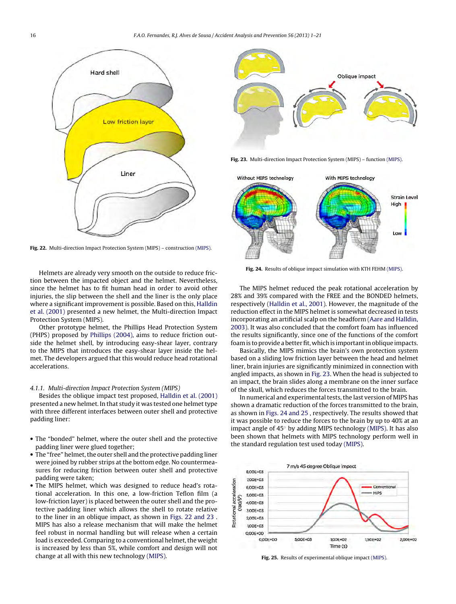

**Fig. 22.** Multi-direction Impact Protection System (MIPS) – construction [\(MIPS\).](#page-19-0)

Helmets are already very smooth on the outside to reduce friction between the impacted object and the helmet. Nevertheless, since the helmet has to fit human head in order to avoid other injuries, the slip between the shell and the liner is the only place where a significant improvement is possible. Based on this, [Halldin](#page-18-0) et [al.](#page-18-0) [\(2001\)](#page-18-0) presented a new helmet, the Multi-direction Impact Protection System (MIPS).

Other prototype helmet, the Phillips Head Protection System (PHPS) proposed by [Phillips](#page-19-0) [\(2004\),](#page-19-0) aims to reduce friction outside the helmet shell, by introducing easy-shear layer, contrary to the MIPS that introduces the easy-shear layer inside the helmet. The developers argued that this would reduce head rotational accelerations.

# 4.1.1. Multi-direction Impact Protection System (MIPS)

Besides the oblique impact test proposed, [Halldin](#page-18-0) et [al.](#page-18-0) [\(2001\)](#page-18-0) presented a new helmet. In that study it was tested one helmet type with three different interfaces between outer shell and protective padding liner:

- The "bonded" helmet, where the outer shell and the protective padding liner were glued together;
- The "free" helmet, the outer shell and the protective padding liner were joined by rubber strips at the bottom edge. No countermeasures for reducing friction between outer shell and protective padding were taken;
- The MIPS helmet, which was designed to reduce head's rotational acceleration. In this one, a low-friction Teflon film (a low-friction layer) is placed between the outer shell and the protective padding liner which allows the shell to rotate relative to the liner in an oblique impact, as shown in Figs. 22 and 23 . MIPS has also a release mechanism that will make the helmet feel robust in normal handling but will release when a certain load is exceeded. Comparing to a conventional helmet, the weight is increased by less than 5%, while comfort and design will not change at all with this new technology [\(MIPS\).](#page-19-0)



**Fig. 23.** Multi-direction Impact Protection System (MIPS) – function [\(MIPS\).](#page-19-0)



**Fig. 24.** Results of oblique impact simulation with KTH FEHM [\(MIPS\).](#page-19-0)

The MIPS helmet reduced the peak rotational acceleration by 28% and 39% compared with the FREE and the BONDED helmets, respectively [\(Halldin](#page-18-0) et [al.,](#page-18-0) [2001\).](#page-18-0) However, the magnitude of the reduction effect in the MIPS helmet is somewhat decreased in tests incorporating an artificial scalp on the headform [\(Aare](#page-17-0) [and](#page-17-0) [Halldin,](#page-17-0) [2003\).](#page-17-0) It was also concluded that the comfort foam has influenced the results significantly, since one of the functions of the comfort foam is to provide a better fit, which is important in oblique impacts.

Basically, the MIPS mimics the brain's own protection system based on a sliding low friction layer between the head and helmet liner, brain injuries are significantly minimized in connection with angled impacts, as shown in Fig. 23. When the head is subjected to an impact, the brain slides along a membrane on the inner surface of the skull, which reduces the forces transmitted to the brain.

In numerical and experimental tests, the last version of MIPS has shown a dramatic reduction of the forces transmitted to the brain, as shown in Figs. 24 and 25 , respectively. The results showed that it was possible to reduce the forces to the brain by up to 40% at an impact angle of 45◦ by adding MIPS technology [\(MIPS\).](#page-19-0) It has also been shown that helmets with MIPS technology perform well in the standard regulation test used today [\(MIPS\).](#page-19-0)



**Fig. 25.** Results of experimental oblique impact [\(MIPS\).](#page-19-0)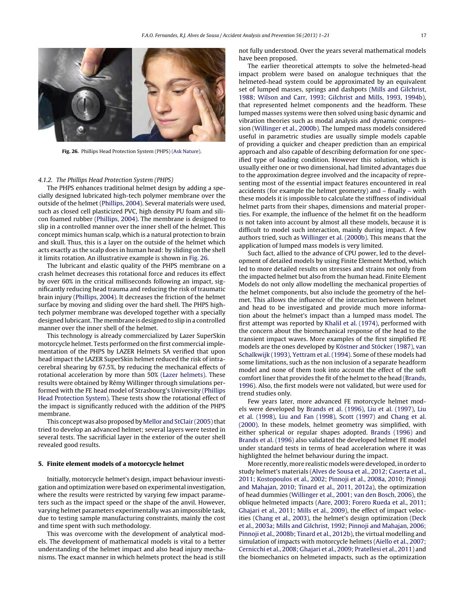

**Fig. 26.** Phillips Head Protection System (PHPS) [\(Ask](#page-17-0) [Nature\).](#page-17-0)

# 4.1.2. The Phillips Head Protection System (PHPS)

The PHPS enhances traditional helmet design by adding a specially designed lubricated high-tech polymer membrane over the outside of the helmet [\(Phillips,](#page-19-0) [2004\).](#page-19-0) Several materials were used, such as closed cell plasticized PVC, high density PU foam and silicon foamed rubber [\(Phillips,](#page-19-0) [2004\).](#page-19-0) The membrane is designed to slip in a controlled manner over the inner shell of the helmet. This concept mimics human scalp, which is a natural protection to brain and skull. Thus, this is a layer on the outside of the helmet which acts exactly as the scalp does in human head: by sliding on the shell it limits rotation. An illustrative example is shown in Fig. 26.

The lubricant and elastic quality of the PHPS membrane on a crash helmet decreases this rotational force and reduces its effect by over 60% in the critical milliseconds following an impact, significantly reducing head trauma and reducing the risk of traumatic brain injury ([Phillips,](#page-19-0) [2004\).](#page-19-0) It decreases the friction of the helmet surface by moving and sliding over the hard shell. The PHPS hightech polymer membrane was developed together with a specially designed lubricant. The membrane is designed to slip in a controlled manner over the inner shell of the helmet.

This technology is already commercialized by Lazer SuperSkin motorcycle helmet. Tests performed on the first commercial implementation of the PHPS by LAZER Helmets SA verified that upon head impact the LAZER SuperSkin helmet reduced the risk of intracerebral shearing by 67.5%, by reducing the mechanical effects of rotational acceleration by more than 50% [\(Lazer](#page-19-0) [helmets\).](#page-19-0) These results were obtained by Rémy Willinger through simulations performed with the FE head model of Strasbourg's University [\(Phillips](#page-19-0) [Head](#page-19-0) [Protection](#page-19-0) [System\).](#page-19-0) These tests show the rotational effect of the impact is significantly reduced with the addition of the PHPS membrane.

This concept was also proposed by [Mellor](#page-19-0) [and](#page-19-0) [StClair](#page-19-0) (2005) that tried to develop an advanced helmet; several layers were tested in several tests. The sacrificial layer in the exterior of the outer shell revealed good results.

# **5. Finite element models of a motorcycle helmet**

Initially, motorcycle helmet's design, impact behaviour investigation and optimization were based on experimental investigation, where the results were restricted by varying few impact parameters such as the impact speed or the shape of the anvil. However, varying helmet parameters experimentally was an impossible task, due to testing sample manufacturing constraints, mainly the cost and time spent with such methodology.

This was overcome with the development of analytical models. The development of mathematical models is vital to a better understanding of the helmet impact and also head injury mechanisms. The exact manner in which helmets protect the head is still not fully understood. Over the years several mathematical models have been proposed.

The earlier theoretical attempts to solve the helmeted-head impact problem were based on analogue techniques that the helmeted-head system could be approximated by an equivalent set of lumped masses, springs and dashpots [\(Mills](#page-19-0) [and](#page-19-0) [Gilchrist,](#page-19-0) [1988;](#page-19-0) [Wilson](#page-19-0) [and](#page-19-0) [Carr,](#page-19-0) [1993;](#page-19-0) [Gilchrist](#page-19-0) [and](#page-19-0) [Mills,](#page-19-0) [1993,](#page-19-0) [1994b\),](#page-19-0) that represented helmet components and the headform. These lumped masses systems were then solved using basic dynamic and vibration theories such as modal analysis and dynamic compression [\(Willinger](#page-20-0) et [al.,](#page-20-0) [2000b\).](#page-20-0) The lumped mass models considered useful in parametric studies are usually simple models capable of providing a quicker and cheaper prediction than an empirical approach and also capable of describing deformation for one specified type of loading condition. However this solution, which is usually either one or two dimensional, had limited advantages due to the approximation degree involved and the incapacity of representing most of the essential impact features encountered in real accidents (for example the helmet geometry) and – finally – with these models it is impossible to calculate the stiffness of individual helmet parts from their shapes, dimensions and material properties. For example, the influence of the helmet fit on the headform is not taken into account by almost all these models, because it is difficult to model such interaction, mainly during impact. A few authors tried, such as [Willinger](#page-20-0) et [al.](#page-20-0) [\(2000b\).](#page-20-0) This means that the application of lumped mass models is very limited.

Such fact, allied to the advance of CPU power, led to the development of detailed models by using Finite Element Method, which led to more detailed results on stresses and strains not only from the impacted helmet but also from the human head. Finite Element Models do not only allow modelling the mechanical properties of the helmet components, but also include the geometry of the helmet. This allows the influence of the interaction between helmet and head to be investigated and provide much more information about the helmet's impact than a lumped mass model. The first attempt was reported by [Khalil](#page-18-0) et [al.](#page-18-0) [\(1974\),](#page-18-0) performed with the concern about the biomechanical response of the head to the transient impact waves. More examples of the first simplified FE models are the ones developed by [Köstner](#page-19-0) [and](#page-19-0) [Stöcker](#page-19-0) [\(1987\),](#page-19-0) [van](#page-20-0) [Schalkwijk](#page-20-0) [\(1993\),](#page-20-0) [Yettram](#page-20-0) et [al.](#page-20-0) [\(1994\).](#page-20-0) Some of these models had some limitations, such as the non inclusion of a separate headform model and none of them took into account the effect of the soft comfort liner that provides the fit of the helmet to the head [\(Brands,](#page-17-0) [1996\).](#page-17-0) Also, the first models were not validated, but were used for trend studies only.

Few years later, more advanced FE motorcycle helmet models were developed by [Brands](#page-17-0) et [al.](#page-17-0) [\(1996\),](#page-17-0) [Liu](#page-17-0) et [al.](#page-17-0) [\(1997\),](#page-17-0) [Liu](#page-19-0) et [al.](#page-19-0) [\(1998\),](#page-19-0) [Liu](#page-19-0) [and](#page-19-0) [Fan](#page-19-0) [\(1998\),](#page-19-0) [Scott](#page-20-0) [\(1997\)](#page-20-0) and [Chang](#page-17-0) et [al.](#page-17-0) [\(2000\).](#page-17-0) In these models, helmet geometry was simplified, with either spherical or regular shapes adopted. [Brands](#page-17-0) [\(1996\)](#page-17-0) and [Brands](#page-17-0) et [al.](#page-17-0) [\(1996\)](#page-17-0) also validated the developed helmet FE model under standard tests in terms of head acceleration where it was highlighted the helmet behaviour during the impact.

More recently, more realistic models were developed, in order to study helmet's materials ([Alves](#page-17-0) [de](#page-17-0) [Sousa](#page-17-0) et [al.,](#page-17-0) [2012;](#page-17-0) [Caserta](#page-17-0) et [al.,](#page-17-0) [2011;](#page-17-0) [Kostopoulos](#page-17-0) et [al.,](#page-17-0) [2002;](#page-17-0) [Pinnoji](#page-17-0) et [al.,](#page-17-0) [2008a,](#page-17-0) [2010;](#page-17-0) [Pinnoji](#page-17-0) [and](#page-17-0) [Mahajan,](#page-17-0) [2010;](#page-17-0) [Tinard](#page-17-0) et [al.,](#page-17-0) [2011,](#page-17-0) [2012a\),](#page-17-0) the optimization of head dummies [\(Willinger](#page-20-0) et [al.,](#page-20-0) [2001;](#page-20-0) [van](#page-20-0) [den](#page-20-0) [Bosch,](#page-20-0) [2006\),](#page-20-0) the oblique helmeted impacts [\(Aare,](#page-17-0) [2003;](#page-17-0) [Forero](#page-17-0) [Rueda](#page-17-0) et [al.,](#page-17-0) [2011;](#page-17-0) [Ghajari](#page-17-0) et [al.,](#page-17-0) [2011;](#page-17-0) [Mills](#page-17-0) et [al.,](#page-17-0) [2009\),](#page-17-0) the effect of impact velocities [\(Chang](#page-17-0) et [al.,](#page-17-0) [2003\),](#page-17-0) the helmet's design optimization ([Deck](#page-17-0) et [al.,](#page-17-0) [2003a;](#page-17-0) [Mills](#page-17-0) [and](#page-17-0) [Gilchrist,](#page-17-0) [1992;](#page-17-0) [Pinnoji](#page-17-0) [and](#page-17-0) [Mahajan,](#page-17-0) [2006;](#page-17-0) [Pinnoji](#page-17-0) et [al.,](#page-17-0) [2008b;](#page-17-0) [Tinard](#page-17-0) et [al.,](#page-17-0) [2012b\),](#page-17-0) the virtual modelling and simulation of impacts with motorcycle helmets [\(Aiello](#page-17-0) et [al.,](#page-17-0) [2007;](#page-17-0) [Cernicchi](#page-17-0) et [al.,](#page-17-0) [2008;](#page-17-0) [Ghajari](#page-17-0) et [al.,](#page-17-0) [2009;](#page-17-0) [Pratellesi](#page-17-0) et [al.,](#page-17-0) [2011\)](#page-17-0) and the biomechanics on helmeted impacts, such as the optimization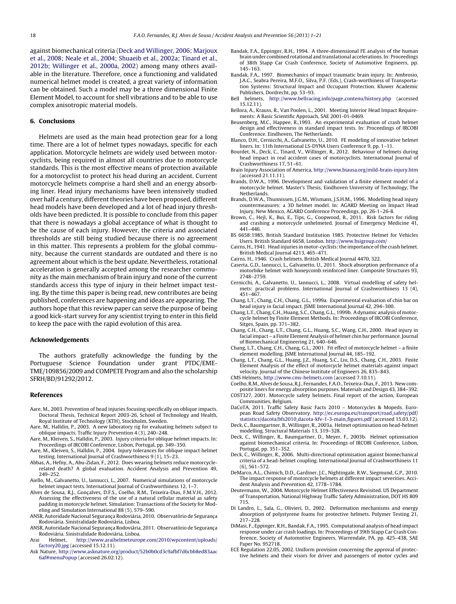<span id="page-17-0"></span>against biomechanical criteria (Deck and Willinger, 2006; Marjoux et al., 2008; Neale et al., 2004; Shuaeib et al., 2002a; Tinard et al., 2012b; Willinger et al., 2000a, 2002) among many others available in the literature. Therefore, once a functioning and validated numerical helmet model is created, a great variety of information can be obtained. Such a model may be a three dimensional Finite Element Model, to account for shell vibrations and to be able to use complex anisotropic material models.

#### **6. Conclusions**

Helmets are used as the main head protection gear for a long time. There are a lot of helmet types nowadays, specific for each application. Motorcycle helmets are widely used between motorcyclists, being required in almost all countries due to motorcycle standards. This is the most effective means of protection available for a motorcyclist to protect his head during an accident. Current motorcycle helmets comprise a hard shell and an energy absorbing liner. Head injury mechanisms have been intensively studied over half a century, different theories have been proposed, different head models have been developed and a lot of head injury thresholds have been predicted. It is possible to conclude from this paper that there is nowadays a global acceptance of what is thought to be the cause of each injury. However, the criteria and associated thresholds are still being studied because there is no agreement in this matter. This represents a problem for the global community, because the current standards are outdated and there is no agreement about which is the best update. Nevertheless, rotational acceleration is generally accepted among the researcher community as the main mechanism of brain injury and none of the current standards access this type of injury in their helmet impact testing. By the time this paper is being read, new contributes are being published, conferences are happening and ideas are appearing. The authors hope that this review paper can serve the purpose of being a good kick-start survey for any scientist trying to enter in this field to keep the pace with the rapid evolution of this area.

# **Acknowledgements**

The authors gratefully acknowledge the funding by the Portuguese Science Foundation under grant PTDC/EME-TME/109856/2009 and COMPETE Program and also the scholarship SFRH/BD/91292/2012.

# **References**

- Aare, M., 2003. Prevention of head injuries focusing specifically on oblique impacts. Doctoral Thesis, Technical Report 2003-26, School of Technology and Health, Royal Institute of Technology (KTH), Stockholm, Sweden.
- Aare, M., Halldin, P., 2003. A new laboratory rig for evaluating helmets subject to oblique impacts. Traffic Injury Prevention 4 (3), 240–248.
- Aare, M., Kleiven, S., Halldin, P., 2003. Injury criteria for oblique helmet impacts. In: Proceedings of IRCOBI Conference, Lisbon, Portugal, pp. 349–350.
- Aare, M., Kleiven, S., Halldin, P., 2004. Injury tolerances for oblique impact helmet testing. International Journal of Crashworthiness 9 (1), 15–23.
- Abbas, A., Hefny, A., Abu-Zidan, F., 2012. Does wearing helmets reduce motorcyclerelated death? A global evaluation. Accident Analysis and Prevention 49, 249–252.
- Aiello, M., Galvanetto, U., Iannucci, L., 2007. Numerical simulations of motorcycle helmet impact tests. International Journal of Crashworthiness 12, 1-7.
- Alves de Sousa, R.J., Gonçalves, D.F.S., Coelho, R.M., Teixeira-Dias, F.M.V.H., 2012. Assessing the effectiveness of the use of a natural cellular material as safety padding in motorcycle helmet. Simulation: Transactions of the Society for Modeling and Simulation International 88 (5), 579–590.
- ANSR, Autoridade Nacional Segurança Rodoviária, 2010. Observatório de Segurança Rodoviária. Sinistralidade Rodoviária, Lisboa.
- ANSR, Autoridade Nacional Segurança Rodoviária, 2011. Observatório de Segurança Rodoviária. Sinistralidade Rodoviária, Lisboa.
- Arai Helmet, [http://www.araihelmeteurope.com/2010/wpcontent/uploads/](http://www.araihelmeteurope.com/2010/wpcontent/uploads/factory20.jpg) [factory20.jpg](http://www.araihelmeteurope.com/2010/wpcontent/uploads/factory20.jpg) (accessed 15.12.11).
- Ask Nature, [http://www.asknature.org/product/52b0b0cd3c9afbf7d6cbb8ed83aac](http://www.asknature.org/product/52b0b0cd3c9afbf7d6cbb8ed83aac6af#menuPopup) [6af#menuPopup](http://www.asknature.org/product/52b0b0cd3c9afbf7d6cbb8ed83aac6af#menuPopup) (accessed 26.02.12).
- Bandak, F.A., Eppinger, R.H., 1994. A three-dimensional FE analysis of the human brain under combined rotational and translational accelerations.In: Proceedings of 38th Stapp Car Crash Conference, Society of Automotive Engineers, pp. 145–163.
- Bandak, F.A., 1997. Biomechanics of impact traumatic brain injury. In: Ambrosio, J.A.C., Seabra Pereira, M.F.O., Silva, P.F. (Eds.), Crash-worthiness of Transportation Systems: Structural Impact and Occupant Protection. Kluwer Academic Publishers, Dordrecht, pp. 53–93.
- Bell helmets, [http://www.bellracing.info/page](http://www.bellracing.info/page_contenu/history.php) contenu/history.php (accessed 15.12.11).
- Bellora, A., Krauss, R., Van Poolen, L., 2001. Meeting Interior Head Impact Requirements: A Basic Scientific Approach, SAE 2001-01-0469.
- Beusenberg, M.C., Happee, R.,1993. An experimental evaluation of crash helmet design and effectiveness in standard impact tests. In: Proceedings of IRCOBI Conference. Eindhoven, The Netherlands.
- Blanco, D.H., Cernicchi, A., Galvanetto, U., 2010. FE modeling of innovative helmet liners. In: 11th International LS-DYNA Users Conference 9, pp. 1–11.
- Bourdet, N., Deck, C., Tinard, V., Willinger, R., 2012. Behaviour of helmets during head impact in real accident cases of motorcyclists. International Journal of Crashworthiness 17, 51–61.
- Brain Injury Association of America, <http://www.biausa.org/mild-brain-injury.htm> (accessed 21.11.11).
- Brands, D.W.A., 1996. Development and validation of a finite element model of a motorcycle helmet. Master's Thesis, Eindhoven University of Technology, The **Netherlands**
- Brands, D.W.A., Thunnissen, J.G.M., Wismans, J.S.H.M., 1996. Modelling head injury countermeasures: a 3D helmet model. In: AGARD Meeting on Impact Head Injury, New Mexico, AGARD Conference Proceedings, pp. 26-1–26-8.
- Brown, C., Hejl, K., Bui, E., Tips, G., Coopwood, B., 2011. Risk factors for riding and crashing a motorcycle unhelmeted. Journal of Emergency Medicine 41, 441–446.
- BS 6658:1985, British Standard Institution 1985. Protective Helmet for Vehicles Users. British Standard 6658, London. <http://www.bsigroup.com/>
- Cairns, H., 1941. Head injuries in motor-cyclists: the importance of the crash helmet. British Medical Journal 4213, 465–471.
- Cairns, H., 1946. Crash helmets. British Medical Journal 4470, 322.
- Caserta, G.D., Iannucci, L., Galvanetto, U., 2011. Shock absorption performance of a motorbike helmet with honeycomb reinforced liner. Composite Structures 93, 2748–2759.
- Cernicchi, A., Galvanetto, U., Iannucci, L., 2008. Virtual modelling of safety helmets: practical problems. International Journal of Crashworthiness 13 (4), 451–467.
- Chang, L.T., Chang, C.H., Chang, G.L., 1999a. Experimental evaluation of chin bar on head injury in facial impact. JSME International Journal 42, 294–300.
- Chang, L.T., Chang, C.H., Huang, S.C., Chang, G.L., 1999b. Adynamic analysis of motorcycle helmet by Finite Element Methods. In: Proceedings of IRCOBI Conference, Sitges, Spain, pp. 371–382.
- Chang, C.H., Chang, L.T., Chang, G.L., Huang, S.C., Wang, C.H., 2000. Head injury in facial impact – a Finite Element Analysis of helmet chin bar performance. Journal of Biomechanical Engineering 21, 640–646.
- Chang, L.T., Chang, C.H., Chang, G.L., 2001. Fit effect of motorcycle helmet a finite element modelling. JSME International Journal 44, 185–192.
- Chang, L.T., Chang, G.L., Huang, J.Z., Huang, S.C., Liu, D.S., Chang, C.H., 2003. Finite Element Analysis of the effect of motorcycle helmet materials against impact velocity. Journal of the Chinese Institute of Engineers 26, 835–843.
- CMS Helmets, <http://www.cms-helmets.com> (accessed 7.10.11).
- Coelho,R.M.,Alves de Sousa, R.J., Fernandes, F.A.O., Teixeira-Dias, F., 2013. New composite liners for energy absorption purposes. Materials and Design 43, 384–392. COST327, 2001. Motorcycle safety helmets. Final report of the action, European
- Communities, Belgium. DaCoTA, 2011. Traffic Safety Basic Facts 2010 – Motorcycles & Mopeds. Euro-
- pean Road Safety Observatory. [http://ec.europa.eu/transport/road](http://ec.europa.eu/transport/road_safety/pdf/statistics/dacota/bfs2010_dacota-kfv-1-3-main_figures.pdf) safety/pdf/ [statistics/dacota/bfs2010](http://ec.europa.eu/transport/road_safety/pdf/statistics/dacota/bfs2010_dacota-kfv-1-3-main_figures.pdf) dacota-kfv-1-3-main figures.pdf (accessed 15.03.12).
- Deck, C., Baumgartner, B., Willinger, R., 2003a. Helmet optimisation on head-helmet modelling. Structural Materials 13, 319–328.
- Deck, C., Willinger, R., Baumgartner, D., Meyer, F., 2003b. Helmet optimisation against biomechanical criteria. In: Proceedings of IRCOBI Conference, Lisbon, Portugal, pp. 351–352.
- Deck, C., Willinger, R., 2006. Multi-directional optimisation against biomechanical criteria of a head-helmet coupling. International Journal of Crashworthiness 11 (6), 561–572.
- DeMarco, A.L., Chimich, D.D., Gardiner, J.C., Nightingale, R.W., Siegmund, G.P., 2010. The impact response of motorcycle helmets at different impact severities. Accident Analysis and Prevention 42, 1778–1784.
- Deutermann, W., 2004. Motorcycle Helmet Effectiveness Revisited. US Department of Transportation, National Highway Traffic Safety Administration, DOT HS 809 715.
- Di Landro, L., Sala, G., Olivieri, D., 2002. Deformation mechanisms and energy absorption of polystyrene foams for protective helmets. Polymer Testing 21, 217–228.
- DiMasi, F., Eppinger, R.H., Bandak, F.A., 1995. Computational analysis of head impact response under car crash loadings. In: Proceedings of 39th Stapp Car Crash Conference, Society of Automotive Engineers, Warrendale, PA, pp. 425–438, SAE Paper No. 952718.
- ECE Regulation 22.05, 2002. Uniform provision concerning the approval of protective helmets and their visors for driver and passengers of motor cycles and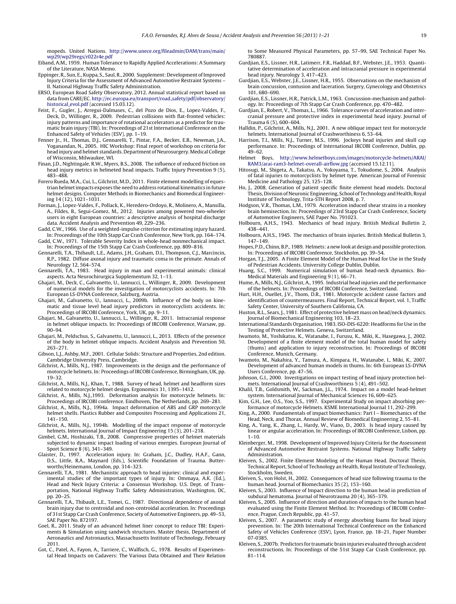<span id="page-18-0"></span>mopeds. United Nations. [http://www.unece.org/fileadmin/DAM/trans/main/](http://www.unece.org/fileadmin/DAM/trans/main/wp29/wp29regs/r022r4e.pdf) [wp29/wp29regs/r022r4e.pdf](http://www.unece.org/fileadmin/DAM/trans/main/wp29/wp29regs/r022r4e.pdf)

Eiband, A.M., 1959. Human Tolerance to Rapidly Applied Accelerations: A Summary of the Literature, NASA Memo.

- Eppinger,R., Sun, E.,Kuppa, S., Saul,R., 2000. Supplement: Development ofImproved Injury Criteria for the Assessment of Advanced Automotive Restraint Systems – II. National Highway Traffic Safety Administration.
- ERSO, European Road Safety Observatory, 2012. Annual statistical report based on data from CARE/EC. [http://ec.europa.eu/transport/road](http://ec.europa.eu/transport/road_safety/pdf/observatory/historical_evol.pdf) safety/pdf/observatory/ [historical](http://ec.europa.eu/transport/road_safety/pdf/observatory/historical_evol.pdf) evol.pdf (accessed 15.03.12).
- Feist, F., Gugler, J., Arregui-Dalmases, C., del Pozo de Dios, E., Lopez-Valdes, F., Deck, D., Willinger, R., 2009. Pedestrian collisions with flat-fronted vehicles: injury patterns and importance of rotational accelerators as a predictor for traumatic brain injury (TBI). In: Proceedings of 21st International Conference on the Enhanced Safety of Vehicles (ESV), pp. 1–19.
- Fenner Jr., H., Thomas, D.J., Gennarelli, T., Pintar, F.A., Becker, E.B., Newman, J.A., Yoganandan, N., 2005. HIC Workshop: Final report of workshop on criteria for head injury and helmet standards. Department of Neurosurgery. Medical College of Wisconsin, Milwaukee, WI.
- Finan, J.D., Nightingale, R.W., Myers, B.S., 2008. The influence of reduced friction on head injury metrics in helmeted head impacts. Traffic Injury Prevention 9 (5), 483–488.
- Forero Rueda, M.A., Cui, L., Gilchrist, M.D., 2011. Finite element modelling of equestrian helmet impacts exposes the need to address rotational kinematics in future helmet designs. Computer Methods in Biomechanics and Biomedical Engineering 14 (12), 1021–1031.
- Forman, J., Lopez-Valdes, F., Pollack, K., Heredero-Ordoyo, R., Molinero, A., Mansilla, A., Fildes, B., Segui-Gomez, M., 2012. Injuries among powered two-wheeler users in eight European countries: a descriptive analysis of hospital discharge data. Accident Analysis and Prevention 49, 229–236.
- Gadd, C.W., 1966. Use of a weighted-impulse criterion for estimating injury hazard. In: Proceedings of the 10th Stapp Car Crash Conference, New York, pp. 164–174. Gadd, C.W., 1971. Tolerable Severity Index in whole-head nonmechanical impact.
- In: Proceedings of the 15th Stapp Car Crash Conference, pp. 809–816.
- Gennarelli, T.A., Thibault, L.E., Adams, J.H., Graham, D.I., Thompson, C.J., Marcincin, R.P., 1982. Diffuse axonal injury and traumatic coma in the primate. Annals of Neurology 12, 564–574.
- Gennarelli, T.A., 1983. Head injury in man and experimental animals: clinical aspects. Acta Neurochirurgica Supplementum 32, 1–13.
- Ghajari, M., Deck, C., Galvanetto, U., Iannucci, L., Willinger, R., 2009. Development of numerical models for the investigation of motorcyclists accidents. In: 7th European LS-DYNA Conference, Salzburg, Austria.
- Ghajari, M., Galvanetto, U., Iannucci, L., 2009b. Influence of the body on kinematic and tissue level head injury predictors in motorcyclists accidents. In: Proceedings of IRCOBI Conference, York, UK, pp. 9–11.
- Ghajari, M., Galvanetto, U., Iannucci, L., Willinger, R., 2011. Intracranial response in helmet oblique impacts. In: Proceedings of IRCOBI Conference, Warsaw, pp. 90–94.
- Ghajari, M., Peldschus, S., Galvanetto, U., Iannucci, L., 2013. Effects of the presence of the body in helmet oblique impacts. Accident Analysis and Prevention 50, 263–271.
- Gibson, L.J., Ashby, M.F., 2001. Cellular Solids: Structure and Properties, 2nd edition. Cambridge University Press, Cambridge.
- Gilchrist, A., Mills, N.J., 1987. Improvements in the design and the performance of motorcycle helmets. In: Proceedings of IRCOBI Conference, Birmingham, UK, pp. 19–32.
- Gilchrist, A., Mills, N.J., Khan, T., 1988. Survey of head, helmet and headform sizes related to motorcycle helmet design. Ergonomics 31, 1395–1412.
- Gilchrist, A., Mills, N.J.,1993. Deformation analysis for motorcycle helmets. In: Proceedings of IRCOBI conference. Eindhoven, The Netherlands, pp. 269–281.
- Gilchrist, A., Mills, N.J., 1994a. Impact deformation of ABS and GRP motorcycle helmet shells. Plastics Rubber and Composites Processing and Applications 21, 141–150.
- Gilchrist, A., Mills, N.J., 1994b. Modelling of the impact response of motorcycle helmets. International Journal of Impact Engineering 15 (3), 201–218.
- Gimbel, G.M., Hoshizaki, T.B., 2008. Compressive properties of helmet materials subjected to dynamic impact loading of various energies. European Journal of Sport Science 8 (6), 341–349.
- Glaister, D., 1997. Acceleration injury. In: Graham, J.C., Dudley, H.A.F., Gann, D.S., Little, R.A., Maynard (Eds.), Scientific Foundation of Trauma. Butterworths/Heinemann, London, pp. 314–323.
- Gennarelli, T.A., 1981. Mechanistic approach to head injuries: clinical and experimental studies of the important types of injury. In: Ommaya, A.K. (Ed.), Head and Neck Injury Criteria: a Consensus Workshop. U.S. Dept. of Transportation, National Highway Traffic Safety Administration, Washington, DC, pp. 20–25.
- Gennarelli, T.A., Thibault, L.E., Tomei, G., 1987. Directional dependence of axonal brain injury due to centroidal and non-centroidal acceleration. In: Proceedings of 31st Stapp Car Crash Conference, Society of Automotive Engineers, pp. 49–53, SAE Paper No. 872197.
- Goel, R., 2011. Study of an advanced helmet liner concept to reduce TBI: Experiments & Simulation using sandwich structures. Master thesis, Department of Aeronautics and Astronautics, Massachusetts Institute of Technology, February 2011.
- Got, C., Patel, A., Fayon, A., Tarriere, C., Walfisch, G., 1978. Results of Experimental Head Impacts on Cadavers: The Various Data Obtained and Their Relation

to Some Measured Physical Parameters, pp. 57–99, SAE Technical Paper No. 780887.

- Gurdjian, E.S., Lissner, H.R., Latimerr, F.R., Haddad, B.F., Webster, J.E., 1953. Quantitative determination of acceleration and intracranial pressure in experimental head injury. Neurology 3, 417–423.
- Gurdjian, E.S., Webster, J.E., Lissner, H.R., 1955. Observations on the mechanism of brain concussion, contusion and laceration. Surgery, Gynecology and Obstetrics 101, 680–690.
- Gurdjian, E.S., Lissner, H.R., Patrick, L.M., 1963. Concussion-mechanism and pathology. In: Proceedings of 7th Stapp Car Crash Conference, pp. 470–482.
- Gurdjian, E., Robert, V., Thomas, L., 1966. Tolerance curves of acceleration and intercranial pressure and protective index in experimental head injury. Journal of Trauma 6 (5), 600–604.
- Halldin, P., Gilchrist, A., Mills, N.J., 2001. A new oblique impact test for motorcycle helmets. International Journal of Crashworthiness 6, 53–64.
- Harrison, T.I., Mills, N.J., Turner, M.S., 1996. Jockeys head injuries and skull cap performance. In: Proceedings of International IRCOBI Conference, Dublin, pp.  $49 - 62$
- Helmet Boys, [http://www.helmetboys.com/images/motorcycle-helmets/ARAI/](http://www.helmetboys.com/images/motorcycle-helmets/ARAI/RAM3/arai-ram3-helmet-overall-airflow.jpg) [RAM3/arai-ram3-helmet-overall-airflow.jpg](http://www.helmetboys.com/images/motorcycle-helmets/ARAI/RAM3/arai-ram3-helmet-overall-airflow.jpg) (accessed 15.12.11).
- Hitosugi, M., Shigeta, A., Takatsu, A., Yokoyama, T., Tokudome, S., 2004. Analysis of fatal injuries to motorcyclists by helmet type. American Journal of Forensic Medicine and Pathology 25, 125–128.
- Ho, J., 2008. Generation of patient specific finite element head models. Doctoral Thesis, Division of Neuronic Engineering, School of Technology and Health, Royal Institute of Technology, Trita-STH Report 2008, p. 7.
- Hodgson, V.R., Thomas, L.M., 1979. Acceleration induced shear strains in a monkey brain hemisection. In: Proceedings of 23rd Stapp Car Crash Conference, Society of Automotive Engineers, SAE Paper No. 791023.
- Holbourn, A.H.S., 1943. Mechanics of head injury. British Medical Bulletin 2, 438–441.
- Holbourn, A.H.S., 1945. The mechanics of brain injuries. British Medical Bulletin 3, 147–149.
- Hopes, P.D., Chinn, B.P., 1989. Helmets: a new look at design and possible protection. In: Proceedings of IRCOBI Conference, Stockholm, pp. 39–54.
- Horgan, T.J., 2005. A Finite Element Model of the Human Head for Use in the Study of Pedestrian Accidents. University College Dublin, Dublin.
- Huang, S.C., 1999. Numerical simulation of human head-neck dynamics. Bio-Medical Materials and Engineering 9 (1), 66–71.
- Hume, A., Mills, N.J., Gilchrist, A., 1995. Industrial head injuries and the performance of the helmets. In: Proceedings of IRCOBI Conference, Switzerland.
- Hurt, H.H., Ouellet, J.V., Thom, D.R., 1981. Motorcycle accident cause factors and identification of countermeasures. Final Report, Technical Report, vol. 1, Traffic Safety Center, University of Southern California, CA.
- Huston, R.L., Sears, J., 1981. Effect of protective helmet mass on head/neck dynamics. Journal of Biomechanical Engineering 103, 18–23.
- International Standards Organisation, 1983. ISO-DIS-6220: Headforms for Use in the Testing of Protective Helmets. Geneva, Switzerland.
- Iwamoto, M., Yoshikatsu, K., Watanabe, I., Furusu, K., Miki, K., Hasegawa, J., 2002. Development of a finite element model of the total human model for safety (thums) and application to injury reconstruction. In: Proceedings of IRCOBI Conference, Munich, Germany.
- Iwamoto, M., Nakahira, Y., Tamura, A., Kimpara, H., Watanabe, I., Miki, K., 2007. Development of advanced human models in thums. In: 6th European LS-DYNA Users Conference, pp. 47–56.
- Johnson, G.I., 2000. Investigations on impact testing of head injury protection helmets. International Journal of Crashworthiness 5 (4), 491–502.
- Khalil, T.B., Goldsmith, W., Sackman, J.L., 1974. Impact on a model head-helmet system. International Journal of Mechanical Sciences 16, 609–625.
- Kim, G.H., Lee, O.S., Yoo, S.S., 1997. Experimental Study on impact absorbing per-formance of motorcycle Helmets. KSME International Journal 11, 292–299.
- King, A., 2000. Fundamentals of impact biomechanics: Part I Biomechanics of the Head, Neck, and Thorax. Annual Review of Biomedical Engineering 2, 55–81.
- King, A., Yang, K., Zhang, L., Hardy, W., Viano, D., 2003. Is head injury caused by linear or angular acceleration. In: Proceedings of IRCOBI Conference, Lisbon, pp.  $1 - 10$
- Kleinberger, M., 1998. Development of Improved Injury Criteria for the Assessment of Advanced Automotive Restraint Systems. National Highway Traffic Safety Administration.
- Kleiven, S., 2002. Finite Element Modeling of the Human Head. Doctoral Thesis, Technical Report, School of Technology an Health, Royal Institute of Technology, Stockholm, Sweden.
- Kleiven, S., von Holst, H., 2002. Consequences of head size following trauma to the human head. Journal of Biomechanics 35 (2), 153–160.
- Kleiven, S., 2003. Influence of Impact direction to the human head in prediction of subdural hematoma. Journal of Neurotrauma 20 (4), 365–379.
- Kleiven, S., 2005. Influence of direction and duration of impacts to the human head evaluated using the Finite Element Method. In: Proceedings of IRCOBI Conference, Prague, Czech Republic, pp. 41–57.
- Kleiven, S., 2007. A parametric study of energy absorbing foams for head injury prevention. In: The 20th International Technical Conference on the Enhanced Safety of Vehicles Conference (ESV), Lyon, France, pp. 18–21, Paper Number 07-0385.
- Kleiven, S., 2007b. Predictors for traumatic brain injuries evaluated through accident reconstructions. In: Proceedings of the 51st Stapp Car Crash Conference, pp. 81–114.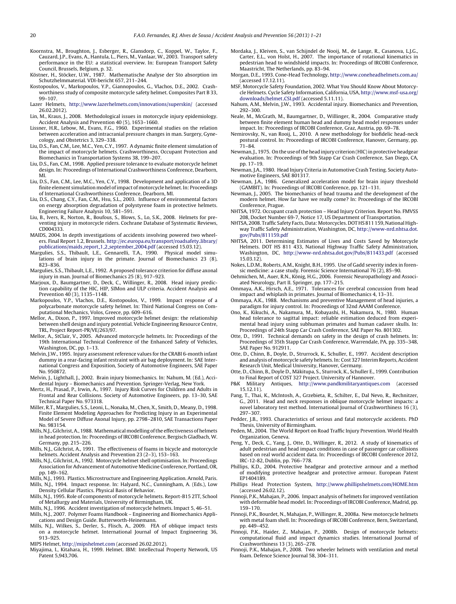- <span id="page-19-0"></span>Koornstra, M., Broughton, J., Esberger, R., Glansdorp, C., Koppel, W., Taylor, F., Cauzard, J.P., Evans, A., Hantula, L., Piers, M., Vanlaar, W., 2003. Transport safety performance in the EU: a statistical overview. In: European Transport Safety Council, Brussels, Belgium, p. 32.
- Köstner, H., Stöcker, U.W., 1987. Mathematische Analyse der Sto absorption im Schutzhelmmaterial. VDI-bericht 657, 211–244.
- Kostopoulos, V., Markopoulos, Y.P., Giannopoulos, G., Vlachos, D.E., 2002. Crashworthiness study of composite motorcycle safety helmet. Composites Part B 33, 99–107.
- Lazer Helmets, <http://www.lazerhelmets.com/innovations/superskin/> (accessed 26.02.2012).
- Lin, M., Kraus, J., 2008. Methodological issues in motorcycle injury epidemiology. Accident Analysis and Prevention 40 (5), 1653–1660.
- Lissner, H.R., Lebow, M., Evans, F.G., 1960. Experimental studies on the relation between acceleration and intracranial pressure changes in man. Surgery, Gynecology, and Obstetrics 3, 329–338.
- Liu, D.S., Fan, C.M., Lee, M.C., Yen, C.Y., 1997. A dynamic finite element simulation of the impact of motorcycle helmets. Crashworthiness, Occupant Protection and Biomechanics in Transportation Systems 38, 199–207.
- Liu, D.S., Fan, C.M., 1998. Applied pressure tolerance to evaluate motorcycle helmet design. In: Proceedings of International Crashworthiness Conference, Dearborn, MI.
- Liu, D.S., Fan, C.M., Lee, M.C., Yen, C.Y., 1998. Development and application of a 3D finite element simulation model ofimpact of motorcycle helmet. In: Proceedings of International Crashworthiness Conference, Dearborn, MI.
- Liu, D.S., Chang, C.Y., Fan, C.M., Hsu, S.L., 2003. Influence of environmental factors on energy absorption degradation of polystyrene foam in protective helmets. Engineering Failure Analysis 10, 581–591.
- Liu, B., Ivers, R., Norton, R., Boufous, S., Blows, S., Lo, S.K., 2008. Helmets for preventing injury in motorcycle riders. Cochrane Database of Systematic Reviews, CD004333.
- MAIDS, 2004. In depth investigations of accidents involving powered two wheelers. Final Report 1.2, Brussels. [http://ec.europa.eu/transport/roadsafety](http://ec.europa.eu/transport/roadsafety_library/publications/maids_report_1_2_september_2004.pdf) library/ [publications/maids](http://ec.europa.eu/transport/roadsafety_library/publications/maids_report_1_2_september_2004.pdf) report 1 2 september 2004.pdf (accessed 15.03.12).
- Margulies, S.S., Thibault, L.E., Gennarelli, T.A., 1990. Physical model simulations of brain injury in the primate. Journal of Biomechanics 23 (8), 823–836.
- Margulies, S.S., Thibault, L.E., 1992. A proposed tolerance criterion for diffuse axonal injury in man. Journal of Biomechanics 25 (8), 917–923.
- Marjoux, D., Baumgartner, D., Deck, C., Willinger, R., 2008. Head injury prediction capability of the HIC, HIP, SIMon and ULP criteria. Accident Analysis and Prevention 40 (3), 1135–1148.
- Markopoulos, Y.P., Vlachos, D.E., Kostopoulos, V., 1999. Impact response of a polycarbonate motorcycle safety helmet. In: Third National Congress on Computational Mechanics, Volos, Greece, pp. 609–616.
- Mellor, A., Dixon, P., 1997. Improved motorcycle helmet design: the relationship between shell design and injury potential. Vehicle Engineering Resource Centre, TRL, Project Report-PR/VE/263/97.
- Mellor, A., StClair, V., 2005. Advanced motorcycle helmets. In: Proceedings of the 19th International Technical Conference of the Enhanced Safety of Vehicles, Washington, DC, pp. 1–13.
- Melvin, J.W., 1995. Injury assessment reference values for the CRABI 6-month infant dummy in a rear-facing infant restraint with air bag deployment. In: SAE International Congress and Exposition, Society of Automotive Engineers, SAE Paper No. 950872.
- Melvin, J., Lighthall, J., 2002. Brain injury biomechanics. In: Nahum, M. (Ed.), Accidental Injury – Biomechanics and Prevention. Springer-Verlag, New York.
- Mertz, H., Prasad, P., Irwin, A., 1997. Injury Risk Curves for Children and Adults in Frontal and Rear Collisions. Society of Automotive Engineers, pp. 13–30, SAE Technical Paper No. 973318.
- Miller, R.T., Margulies, S.S., Leoni, L., Nonaka, M., Chen, X., Smith, D., Meany, D., 1998. Finite Element Modeling Approaches for Predicting Injury in an Experimental Model of Severe Diffuse Axonal Injury, pp. 2798–2810, SAE Transactions Paper No. 983154.
- Mills, N.J., Gilchrist, A., 1988. Mathematical modelling of the effectiveness of helmets in head protection. In: Proceedings of IRCOBI Conference, Bergisch Gladbach, W. Germany, pp. 215–226.
- Mills, N.J., Gilchrist, A., 1991. The effectiveness of foams in bicycle and motorcycle helmets. Accident Analysis and Prevention 23 (2-3), 153-163.
- Mills, N.J., Gilchrist, A., 1992. Motorcycle helmet shell optimisation. In: Proceedings Association for Advancement of Automotive Medicine Conference, Portland, OR, pp. 149–162.
- Mills, N.J., 1993. Plastics. Microstructure and Engineering Application. Arnold, Paris. Mills, N.J., 1994. Impact response. In: Halyard, N.C., Cunningham, A. (Eds.), Low
- Density Cellular Plastics. Physical Basis of Behavior. Mills, N.J., 1995. Role of components of motorcycle helmets. Report-B15 2TT, School
- of Metallurgy and Materials, University of Birmingham, UK. Mills, N.J., 1996. Accident investigation of motorcycle helmets. Impact 5, 46–51.
- Mills, N.J., 2007. Polymer Foams Handbook Engineering and Biomechanics Applications and Design Guide. Butterworth-Heinemann.
- Mills, N.J., Wilkes, S., Derler, S., Flisch, A., 2009. FEA of oblique impact tests on a motorcycle helmet. International Journal of Impact Engineering 36, 913–925.
- MIPS Helmet, <http://mipshelmet.com> (accessed 26.02.2012).
- Miyajima, I., Kitahara, H., 1999. Helmet. IBM: Intellectual Property Network, US Patent 5,943,706.
- Mordaka, J., Kleiven, S., van Schijndel de Nooij, M., de Lange, R., Casanova, L.J.G., Carter, E.L., von Holst, H., 2007. The importance of rotational kinematics in pedestrian head to windshield impacts. In: Proceedings of IRCOBI Conference, Maastricht, The Netherlands, pp. 83–94.
- Morgan, D.E., 1993. Cone-Head Technology, <http://www.coneheadhelmets.com.au/> (accessed 17.12.11).
- MSF, Motorcycle Safety Foundation, 2002. What You Should Know About Motorcycle Helmets. Cycle Safety Information, California, USA, [http://www.msf-usa.org/](http://www.msf-usa.org/downloads/helmet_CSI.pdf) [downloads/helmet](http://www.msf-usa.org/downloads/helmet_CSI.pdf) CSI.pdf (accessed 5.11.11).
- Nahum, A.M., Melvin, J.W., 1993. Accidental injury. Biomechanics and Prevention, 292–300.
- Neale, M., McGrath, M., Baumgartner, D., Willinger, R., 2004. Comparative study between finite element human head and dummy head model responses under impact. In: Proceedings of IRCOBI Conference, Graz, Austria, pp. 69–78.
- Nemirovsky, N., van Rooij, L., 2010. A new methodology for biofidelic head-neck postural control. In: Proceedings of IRCOBI Conference, Hanover, Germany, pp. 71–84.
- Newman, J., 1975. On the use of the head injury criterion (HIC) in protective headgear evaluation. In: Proceedings of 9th Stapp Car Crash Conference, San Diego, CA, pp. 17–19.
- Newman, J.A., 1980. Head Injury Criteria in Automotive Crash Testing. Society Automotive Engineers, SAE 801317.
- Newman, J.A., 1986. Generalized acceleration model for brain injury threshold (GAMBIT). In: Proceedings of IRCOBI Conference, pp. 121–131.
- Newman, J., 2005. The biomechanics of head trauma and the development of the modern helmet. How far have we really come? In: Proceedings of the IRCOBI Conference, Prague.
- NHTSA, 1972. Occupant crash protection Head Injury Criterion. Report No. FMVSS 208, Docket Number 69-7, Notice 17, US Department of Transportation.
- NHTSA, 2008. Traffic Safety Facts, Data: Motorcycles. DOT HS 811 159, National Highway Traffic Safety Administration, Washington, DC, [http://www-nrd.nhtsa.dot.](http://www-nrd.nhtsa.dot.gov/Pubs/811159.pdf) [gov/Pubs/811159.pdf](http://www-nrd.nhtsa.dot.gov/Pubs/811159.pdf)
- NHTSA, 2011. Determining Estimates of Lives and Costs Saved by Motorcycle Helmets. DOT HS 811 433, National Highway Traffic Safety Administration, Washington, DC, <http://www-nrd.nhtsa.dot.gov/Pubs/811433.pdf> (accessed  $15.03.12$ ).
- Nokes, L.D.M., Roberts, A.M., Knight, B.H., 1995. Use of Gadd severity index in forensic medicine: a case study. Forensic Science International 76 (2), 85–90.
- Oehmichen, M., Auer, R.N., König, H.G., 2006. Forensic Neuropathology and Associated Neurology, Part II. Springer, pp. 177–215.
- Ommaya, A.K., Hirsch, A.E., 1971. Tolerances for cerebral concussion from head impact and whiplash in primates. Journal of Biomechanics 4, 13–31.
- Ommaya, A.K., 1988. Mechanisms and preventive Management of head injuries, a paradigm for injury control. In: Proceedings of 32nd AAAM Conference.
- Ono, K., Kikuchi, A., Nakamura, M., Kobayashi, H., Nakamura, N., 1980. Human head tolerance to sagittal impact: reliable estimation deduced from experimental head injury using subhuman primates and human cadaver skulls. In: Proceedings of 24th Stapp Car Crash Conference, SAE Paper No. 801302.
- Otte, D., 1991. Technical demands on safety in the design of crash helmets. In: Proceedings of 35th Stapp Car Crash Conference, Warrendale, PA, pp. 335–348, SAE Paper No. 912911.
- Otte, D., Chinn, B., Doyle, D., Strurrock, K., Schuller, E., 1997. Accident description and analysis of motorcycle safety helmets. In: Cost 327 Interim Reports,Accident Research Unit, Medical University, Hanover, Germany.
- Otte, D., Chinn, B., Doyle D., Mäkitupa, S., Sturrock, K., Schuller E., 1999. Contribution to Final Report of COST 327 Project. University of Hannover.
- P&K Military Antiques, <http://www.pandkmilitaryantiques.com> (accessed 15.12.11).
- Pang, T., Thai, K., McIntosh, A., Grzebieta, R., Schilter, E., Dal Nevo, R., Rechnitzer, G., 2011. Head and neck responses in oblique motorcycle helmet impacts: a novel laboratory test method. International Journal of Crashworthiness 16 (3), 297–307.
- Pedder, J.B., 1993. Characteristics of serious and fatal motorcycle accidents. PhD Thesis, University of Birmingham.
- Peden, M., 2004. The World Report on Road Traffic Injury Prevention. World Health Organization, Geneva.
- Peng, Y., Deck, C., Yang, J., Otte, D., Willinger, R., 2012. A study of kinematics of adult pedestrian and head impact conditions in case of passenger car collisions based on real world accident data. In: Proceedings of IRCOBI Conference 2012, IRC-12-82, Dublin, pp. 766–778.
- Phillips, K.D., 2004. Protective headgear and protective armour and a method of modifying protective headgear and protective armour. European Patent EP1404189.
- Phillips Head Protection System, <http://www.phillipshelmets.com/HOME.htm> (accessed 26.02.12).
- Pinnoji, P.K., Mahajan, P., 2006. Impact analysis of helmets for improved ventilation with deformable head model. In: Proceedings of IRCOBI Conference, Madrid, pp. 159–170.
- Pinnoji, P.K., Bourdet, N., Mahajan, P., Willinger, R., 2008a. New motorcycle helmets with metal foam shell. In: Proceedings of IRCOBI Conference, Bern, Switzerland, pp. 449–452.
- Pinnoji, P.K., Haider, Z., Mahajan, P., 2008b. Design of motorcycle helmets: computational fluid and impact dynamics studies. International Journal of Crashworthiness 13 (3), 265–278.
- Pinnoji, P.K., Mahajan, P., 2008. Two wheeler helmets with ventilation and metal foam. Defence Science Journal 58, 304–311.